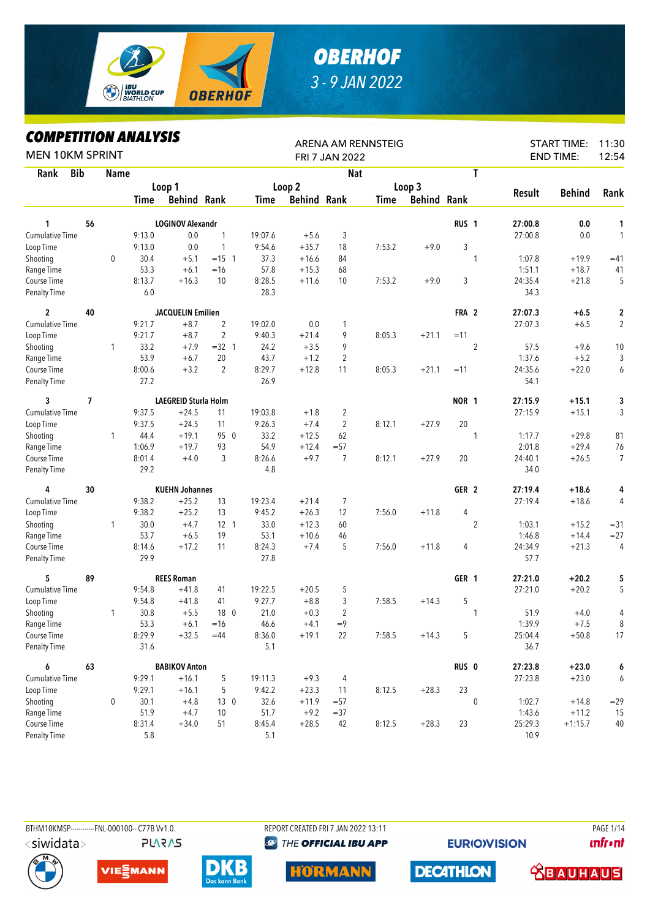

## *OBERHOF 3 - 9 JAN 2022*

## *COMPETITION ANALYSIS*

| <b>MEN 10KM SPRINT</b>             |            |             | YIFEIIIIUN ANALIƏIƏ |                             |                |                |                    | FRI 7 JAN 2022 | <b>ARENA AM RENNSTEIG</b> |                    |                  |                |                 | <b>START TIME:</b><br><b>END TIME:</b> | 11:30<br>12:54 |
|------------------------------------|------------|-------------|---------------------|-----------------------------|----------------|----------------|--------------------|----------------|---------------------------|--------------------|------------------|----------------|-----------------|----------------------------------------|----------------|
| Rank                               | <b>Bib</b> | <b>Name</b> |                     |                             |                |                |                    | <b>Nat</b>     |                           |                    |                  | T              |                 |                                        |                |
|                                    |            |             |                     | Loop 1                      |                |                | Loop 2             |                |                           | Loop 3             |                  |                |                 |                                        |                |
|                                    |            |             | Time                | <b>Behind Rank</b>          |                | Time           | <b>Behind Rank</b> |                | Time                      | <b>Behind Rank</b> |                  |                | <b>Result</b>   | <b>Behind</b>                          | Rank           |
|                                    |            |             |                     |                             |                |                |                    |                |                           |                    |                  |                |                 |                                        |                |
| 1                                  | 56         |             |                     | <b>LOGINOV Alexandr</b>     |                |                |                    |                |                           |                    | RUS <sub>1</sub> |                | 27:00.8         | 0.0                                    | 1              |
| <b>Cumulative Time</b>             |            |             | 9:13.0              | 0.0                         | 1              | 19:07.6        | $+5.6$             | 3              |                           |                    |                  |                | 27:00.8         | 0.0                                    | $\mathbf{1}$   |
| Loop Time                          |            |             | 9:13.0              | 0.0                         | $\mathbf{1}$   | 9:54.6         | $+35.7$            | 18             | 7:53.2                    | $+9.0$             | 3                |                |                 |                                        |                |
| Shooting                           |            | 0           | 30.4                | $+5.1$                      | $= 15 \quad 1$ | 37.3           | $+16.6$            | 84             |                           |                    | 1                |                | 1:07.8          | $+19.9$                                | $=41$          |
| Range Time                         |            |             | 53.3                | $+6.1$                      | $=16$          | 57.8           | $+15.3$            | 68             |                           |                    |                  |                | 1:51.1          | $+18.7$                                | 41             |
| Course Time<br><b>Penalty Time</b> |            |             | 8:13.7<br>6.0       | $+16.3$                     | 10             | 8:28.5<br>28.3 | $+11.6$            | 10             | 7:53.2                    | $+9.0$             | 3                |                | 24:35.4<br>34.3 | $+21.8$                                | 5              |
| $\overline{2}$                     | 40         |             |                     | <b>JACQUELIN Emilien</b>    |                |                |                    |                |                           |                    | FRA 2            |                | 27:07.3         | $+6.5$                                 | 2              |
| <b>Cumulative Time</b>             |            |             | 9:21.7              | $+8.7$                      | $\overline{2}$ | 19:02.0        | 0.0                | 1              |                           |                    |                  |                | 27:07.3         | $+6.5$                                 | $\overline{2}$ |
| Loop Time                          |            |             | 9:21.7              | $+8.7$                      | 2              | 9:40.3         | $+21.4$            | 9              | 8:05.3                    | $+21.1$            | $=11$            |                |                 |                                        |                |
| Shooting                           |            | 1           | 33.2                | $+7.9$                      | $=32$ 1        | 24.2           | $+3.5$             | 9              |                           |                    |                  | $\overline{2}$ | 57.5            | $+9.6$                                 | 10             |
| Range Time                         |            |             | 53.9                | $+6.7$                      | 20             | 43.7           | $+1.2$             | $\overline{2}$ |                           |                    |                  |                | 1:37.6          | $+5.2$                                 | 3              |
| Course Time                        |            |             | 8:00.6              | $+3.2$                      | $\overline{2}$ | 8:29.7         | $+12.8$            | 11             | 8:05.3                    | $+21.1$            | $=11$            |                | 24:35.6         | $+22.0$                                | 6              |
| Penalty Time                       |            |             | 27.2                |                             |                | 26.9           |                    |                |                           |                    |                  |                | 54.1            |                                        |                |
| 3                                  | 7          |             |                     | <b>LAEGREID Sturla Holm</b> |                |                |                    |                |                           |                    | NOR 1            |                | 27:15.9         | $+15.1$                                | 3              |
| Cumulative Time                    |            |             | 9:37.5              | $+24.5$                     | 11             | 19:03.8        | $+1.8$             | 2              |                           |                    |                  |                | 27:15.9         | $+15.1$                                | 3              |
| Loop Time                          |            |             | 9:37.5              | $+24.5$                     | 11             | 9:26.3         | $+7.4$             | $\overline{2}$ | 8:12.1                    | $+27.9$            | 20               |                |                 |                                        |                |
| Shooting                           |            | 1           | 44.4                | $+19.1$                     | 95 0           | 33.2           | $+12.5$            | 62             |                           |                    | 1                |                | 1:17.7          | $+29.8$                                | 81             |
| Range Time                         |            |             | 1:06.9              | $+19.7$                     | 93             | 54.9           | $+12.4$            | $= 57$         |                           |                    |                  |                | 2:01.8          | $+29.4$                                | 76             |
| Course Time                        |            |             | 8:01.4              | $+4.0$                      | 3              | 8:26.6         | $+9.7$             | $\overline{7}$ | 8:12.1                    | $+27.9$            | 20               |                | 24:40.1         | $+26.5$                                | $\overline{7}$ |
| <b>Penalty Time</b>                |            |             | 29.2                |                             |                | 4.8            |                    |                |                           |                    |                  |                | 34.0            |                                        |                |
| 4                                  | 30         |             |                     | <b>KUEHN Johannes</b>       |                |                |                    |                |                           |                    | GER <sub>2</sub> |                | 27:19.4         | $+18.6$                                | 4              |
| <b>Cumulative Time</b>             |            |             | 9:38.2              | $+25.2$                     | 13             | 19:23.4        | $+21.4$            | 7              |                           |                    |                  |                | 27:19.4         | $+18.6$                                | 4              |
| Loop Time                          |            |             | 9:38.2              | $+25.2$                     | 13             | 9:45.2         | $+26.3$            | 12             | 7:56.0                    | $+11.8$            | 4                |                |                 |                                        |                |
| Shooting                           |            | 1           | 30.0                | $+4.7$                      | $12-1$         | 33.0           | $+12.3$            | 60             |                           |                    |                  | $\overline{2}$ | 1:03.1          | $+15.2$                                | $= 31$         |
| Range Time                         |            |             | 53.7                | $+6.5$                      | 19             | 53.1           | $+10.6$            | 46             |                           |                    |                  |                | 1:46.8          | $+14.4$                                | $= 27$         |
| Course Time                        |            |             | 8:14.6              | $+17.2$                     | 11             | 8:24.3         | $+7.4$             | 5              | 7:56.0                    | $+11.8$            | 4                |                | 24:34.9         | $+21.3$                                | 4              |
| <b>Penalty Time</b>                |            |             | 29.9                |                             |                | 27.8           |                    |                |                           |                    |                  |                | 57.7            |                                        |                |
| 5                                  | 89         |             |                     | <b>REES Roman</b>           |                |                |                    |                |                           |                    | GER 1            |                | 27:21.0         | $+20.2$                                | 5              |
| <b>Cumulative Time</b>             |            |             | 9:54.8              | $+41.8$                     | 41             | 19:22.5        | $+20.5$            | 5              |                           |                    |                  |                | 27:21.0         | $+20.2$                                | 5              |
| Loop Time                          |            |             | 9:54.8              | $+41.8$                     | 41             | 9:27.7         | $+8.8$             | 3              | 7:58.5                    | $+14.3$            | 5                |                |                 |                                        |                |
| Shooting                           |            | 1           | 30.8                | $+5.5$                      | 18 0           | 21.0           | $+0.3$             | $\overline{2}$ |                           |                    |                  | 1              | 51.9            | $+4.0$                                 | 4              |
| Range Time                         |            |             | 53.3                | $+6.1$                      | $=16$          | 46.6           | $+4.1$             | $=9$           |                           |                    |                  |                | 1:39.9          | $+7.5$                                 | 8              |
| Course Time                        |            |             | 8:29.9              | $+32.5$                     | $=44$          | 8:36.0         | $+19.1$            | 22             | 7:58.5                    | $+14.3$            | 5                |                | 25:04.4         | $+50.8$                                | $17$           |
| <b>Penalty Time</b>                |            |             | 31.6                |                             |                | 5.1            |                    |                |                           |                    |                  |                | 36.7            |                                        |                |
| 6                                  | 63         |             |                     | <b>BABIKOV Anton</b>        |                |                |                    |                |                           |                    | RUS <sub>0</sub> |                | 27:23.8         | $+23.0$                                | 6              |
| Cumulative Time                    |            |             | 9:29.1              | $+16.1$                     | 5              | 19:11.3        | $+9.3$             | 4              |                           |                    |                  |                | 27:23.8         | $+23.0$                                | 6              |
| Loop Time                          |            |             | 9:29.1              | $+16.1$                     | 5              | 9:42.2         | $+23.3$            | 11             | 8:12.5                    | $+28.3$            | 23               |                |                 |                                        |                |
| Shooting                           |            | 0           | 30.1                | $+4.8$                      | 130            | 32.6           | $+11.9$            | $= 57$         |                           |                    |                  | 0              | 1:02.7          | $+14.8$                                | $=29$          |
| Range Time                         |            |             | 51.9                | $+4.7$                      | 10             | 51.7           | $+9.2$             | $= 37$         |                           |                    |                  |                | 1:43.6          | $+11.2$                                | 15             |
| Course Time<br>Penalty Time        |            |             | 8:31.4              | $+34.0$                     | 51             | 8:45.4         | $+28.5$            | 42             | 8:12.5                    | $+28.3$            | 23               |                | 25:29.3         | $+1:15.7$                              | 40             |
|                                    |            |             | 5.8                 |                             |                | 5.1            |                    |                |                           |                    |                  |                | 10.9            |                                        |                |



**PLARAS** 

BTHM10KMSP-----------FNL-000100-- C77B Vv1.0. REPORT CREATED FRI 7 JAN 2022 13:11 PAGE 1/14 **@ THE OFFICIAL IBU APP** 

**EURIO)VISION** 

**unfront** 











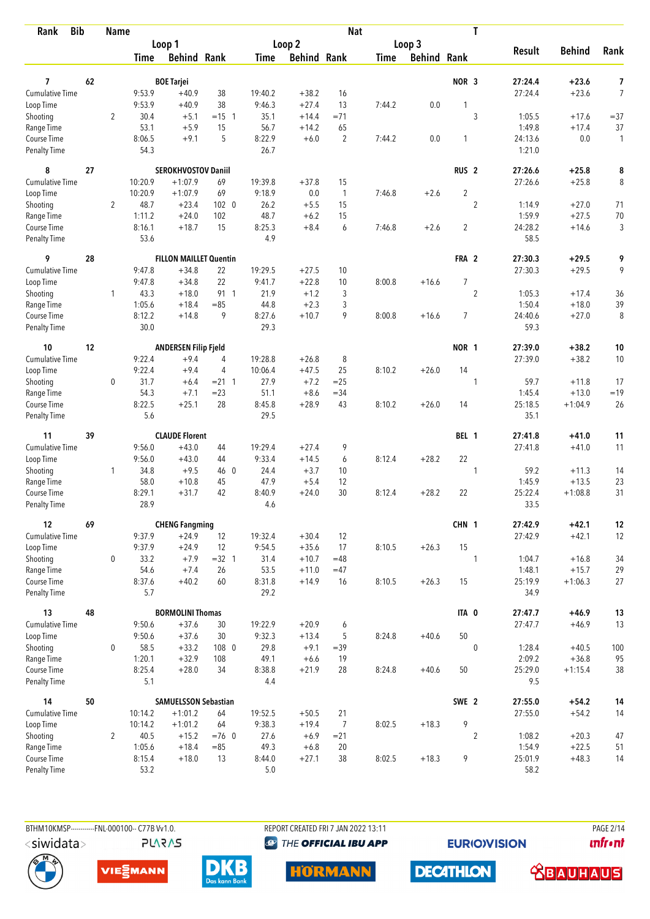| <b>Bib</b><br>Rank                 |    | <b>Name</b>    |                |                               |                |                |                    | <b>Nat</b>     |             |                    |                  | T                |                 |               |                |
|------------------------------------|----|----------------|----------------|-------------------------------|----------------|----------------|--------------------|----------------|-------------|--------------------|------------------|------------------|-----------------|---------------|----------------|
|                                    |    |                |                | Loop 1                        |                |                | Loop 2             |                |             | Loop 3             |                  |                  |                 | <b>Behind</b> |                |
|                                    |    |                | Time           | <b>Behind Rank</b>            |                | Time           | <b>Behind Rank</b> |                | <b>Time</b> | <b>Behind Rank</b> |                  |                  | <b>Result</b>   |               | Rank           |
| 7                                  | 62 |                |                | <b>BOE Tarjei</b>             |                |                |                    |                |             |                    | NOR 3            |                  | 27:24.4         | $+23.6$       | 7              |
| <b>Cumulative Time</b>             |    |                | 9:53.9         | $+40.9$                       | 38             | 19:40.2        | $+38.2$            | 16             |             |                    |                  |                  | 27:24.4         | $+23.6$       | $\overline{7}$ |
| Loop Time                          |    |                | 9:53.9         | $+40.9$                       | 38             | 9:46.3         | $+27.4$            | 13             | 7:44.2      | 0.0                |                  |                  |                 |               |                |
| Shooting                           |    | 2              | 30.4           | $+5.1$                        | $= 15 \quad 1$ | 35.1           | $+14.4$            | $=71$          |             |                    |                  | 3                | 1:05.5          | $+17.6$       | $= 37$         |
| Range Time                         |    |                | 53.1           | $+5.9$                        | 15             | 56.7           | $+14.2$            | 65             |             |                    |                  |                  | 1:49.8          | $+17.4$       | 37             |
| Course Time                        |    |                | 8:06.5         | $+9.1$                        | 5              | 8:22.9         | $+6.0$             | $\overline{2}$ | 7:44.2      | 0.0                | 1                |                  | 24:13.6         | 0.0           | 1              |
| <b>Penalty Time</b>                |    |                | 54.3           |                               |                | 26.7           |                    |                |             |                    |                  |                  | 1:21.0          |               |                |
| 8                                  | 27 |                |                | <b>SEROKHVOSTOV Daniil</b>    |                |                |                    |                |             |                    | RUS <sub>2</sub> |                  | 27:26.6         | $+25.8$       | 8              |
| Cumulative Time                    |    |                | 10:20.9        | $+1:07.9$                     | 69             | 19:39.8        | $+37.8$            | 15             |             |                    |                  |                  | 27:26.6         | $+25.8$       | 8              |
| Loop Time                          |    |                | 10:20.9        | $+1:07.9$                     | 69             | 9:18.9         | 0.0                | $\mathbf{1}$   | 7:46.8      | $+2.6$             | $\overline{2}$   |                  |                 |               |                |
| Shooting                           |    | $\overline{2}$ | 48.7           | $+23.4$                       | $102 \quad 0$  | 26.2           | $+5.5$             | 15             |             |                    |                  | $\overline{2}$   | 1:14.9          | $+27.0$       | 71             |
| Range Time                         |    |                | 1:11.2         | $+24.0$                       | 102            | 48.7           | $+6.2$             | 15             |             |                    |                  |                  | 1:59.9          | $+27.5$       | 70             |
| Course Time                        |    |                | 8:16.1         | $+18.7$                       | 15             | 8:25.3         | $+8.4$             | 6              | 7:46.8      | $+2.6$             | $\overline{2}$   |                  | 24:28.2         | $+14.6$       | 3              |
| <b>Penalty Time</b>                |    |                | 53.6           |                               |                | 4.9            |                    |                |             |                    |                  |                  | 58.5            |               |                |
| 9                                  | 28 |                |                | <b>FILLON MAILLET Quentin</b> |                |                |                    |                |             |                    | FRA 2            |                  | 27:30.3         | $+29.5$       | 9              |
| Cumulative Time                    |    |                | 9:47.8         | $+34.8$                       | 22             | 19:29.5        | $+27.5$            | 10             |             |                    |                  |                  | 27:30.3         | $+29.5$       | 9              |
| Loop Time                          |    |                | 9:47.8         | $+34.8$                       | 22             | 9:41.7         | $+22.8$            | 10             | 8:00.8      | $+16.6$            | $\overline{7}$   |                  |                 |               |                |
| Shooting                           |    | 1              | 43.3           | $+18.0$                       | 91 1           | 21.9           | $+1.2$             | 3              |             |                    |                  | $\overline{2}$   | 1:05.3          | $+17.4$       | 36             |
| Range Time                         |    |                | 1:05.6         | $+18.4$                       | $= 85$         | 44.8           | $+2.3$             | 3              |             |                    |                  |                  | 1:50.4          | $+18.0$       | 39             |
| Course Time<br><b>Penalty Time</b> |    |                | 8:12.2<br>30.0 | $+14.8$                       | 9              | 8:27.6<br>29.3 | $+10.7$            | 9              | 8:00.8      | $+16.6$            | $\overline{7}$   |                  | 24:40.6<br>59.3 | $+27.0$       | 8              |
| 10                                 | 12 |                |                | <b>ANDERSEN Filip Fjeld</b>   |                |                |                    |                |             |                    | NOR 1            |                  | 27:39.0         | $+38.2$       | 10             |
| <b>Cumulative Time</b>             |    |                | 9:22.4         | $+9.4$                        | 4              | 19:28.8        | $+26.8$            | 8              |             |                    |                  |                  | 27:39.0         | $+38.2$       | 10             |
| Loop Time                          |    |                | 9:22.4         | $+9.4$                        | 4              | 10:06.4        | $+47.5$            | 25             | 8:10.2      | $+26.0$            | 14               |                  |                 |               |                |
| Shooting                           |    | 0              | 31.7           | $+6.4$                        | $= 21 \quad 1$ | 27.9           | $+7.2$             | $=25$          |             |                    |                  | 1                | 59.7            | $+11.8$       | 17             |
| Range Time                         |    |                | 54.3           | $+7.1$                        | $= 23$         | 51.1           | $+8.6$             | $= 34$         |             |                    |                  |                  | 1:45.4          | $+13.0$       | $=19$          |
| Course Time                        |    |                | 8:22.5         | $+25.1$                       | 28             | 8:45.8         | $+28.9$            | 43             | 8:10.2      | $+26.0$            | 14               |                  | 25:18.5         | $+1:04.9$     | 26             |
| <b>Penalty Time</b>                |    |                | 5.6            |                               |                | 29.5           |                    |                |             |                    |                  |                  | 35.1            |               |                |
| 11                                 | 39 |                |                | <b>CLAUDE Florent</b>         |                |                |                    |                |             |                    | BEL 1            |                  | 27:41.8         | $+41.0$       | 11             |
| <b>Cumulative Time</b>             |    |                | 9:56.0         | $+43.0$                       | 44             | 19:29.4        | $+27.4$            | 9              |             |                    |                  |                  | 27:41.8         | $+41.0$       | 11             |
| Loop Time                          |    |                | 9:56.0         | $+43.0$                       | 44             | 9:33.4         | $+14.5$            | 6              | 8:12.4      | $+28.2$            | 22               |                  |                 |               |                |
| Shooting                           |    | 1              | 34.8           | $+9.5$                        | 46 0           | 24.4           | $+3.7$             | 10             |             |                    |                  | 1                | 59.2            | $+11.3$       | 14             |
| Range Time                         |    |                | 58.0           | $+10.8$                       | 45             | 47.9           | $+5.4$             | 12             |             |                    |                  |                  | 1:45.9          | $+13.5$       | 23             |
| Course Time                        |    |                | 8:29.1         | $+31.7$                       | 42             | 8:40.9         | $+24.0$            | 30             | 8:12.4      | $+28.2$            | 22               |                  | 25:22.4         | $+1:08.8$     | 31             |
| <b>Penalty Time</b>                |    |                | 28.9           |                               |                | 4.6            |                    |                |             |                    |                  |                  | 33.5            |               |                |
| 12                                 | 69 |                |                | <b>CHENG Fangming</b>         |                |                |                    |                |             |                    | CHN 1            |                  | 27:42.9         | $+42.1$       | 12             |
| Cumulative Time                    |    |                | 9:37.9         | $+24.9$                       | 12             | 19:32.4        | $+30.4$            | 12             |             |                    |                  |                  | 27:42.9         | $+42.1$       | 12             |
| Loop Time                          |    |                | 9:37.9         | $+24.9$                       | 12             | 9:54.5         | $+35.6$            | 17             | 8:10.5      | $+26.3$            | 15               |                  |                 |               |                |
| Shooting                           |    | 0              | 33.2           | $+7.9$                        | $=32$ 1        | 31.4           | $+10.7$            | $=48$          |             |                    |                  | 1                | 1:04.7          | $+16.8$       | 34             |
| Range Time                         |    |                | 54.6           | $+7.4$                        | 26             | 53.5           | $+11.0$            | $=47$          |             |                    |                  |                  | 1:48.1          | $+15.7$       | 29             |
| Course Time<br>Penalty Time        |    |                | 8:37.6<br>5.7  | $+40.2$                       | 60             | 8:31.8<br>29.2 | $+14.9$            | 16             | 8:10.5      | $+26.3$            | 15               |                  | 25:19.9<br>34.9 | $+1:06.3$     | 27             |
| 13                                 | 48 |                |                | <b>BORMOLINI Thomas</b>       |                |                |                    |                |             |                    | ITA 0            |                  | 27:47.7         | $+46.9$       | 13             |
| <b>Cumulative Time</b>             |    |                | 9:50.6         | $+37.6$                       | 30             | 19:22.9        | $+20.9$            | 6              |             |                    |                  |                  | 27:47.7         | $+46.9$       | 13             |
| Loop Time                          |    |                | 9:50.6         | $+37.6$                       | 30             | 9:32.3         | $+13.4$            | 5              | 8:24.8      | $+40.6$            | 50               |                  |                 |               |                |
| Shooting                           |    | 0              | 58.5           | $+33.2$                       | 108 0          | 29.8           | $+9.1$             | $=39$          |             |                    |                  | $\mathbf 0$      | 1:28.4          | $+40.5$       | 100            |
| Range Time                         |    |                | 1:20.1         | $+32.9$                       | 108            | 49.1           | $+6.6$             | 19             |             |                    |                  |                  | 2:09.2          | $+36.8$       | 95             |
| Course Time                        |    |                | 8:25.4         | $+28.0$                       | 34             | 8:38.8         | $+21.9$            | 28             | 8:24.8      | $+40.6$            | 50               |                  | 25:29.0         | $+1:15.4$     | 38             |
| Penalty Time                       |    |                | 5.1            |                               |                | 4.4            |                    |                |             |                    |                  |                  | 9.5             |               |                |
| 14                                 | 50 |                |                | <b>SAMUELSSON Sebastian</b>   |                |                |                    |                |             |                    | SWE 2            |                  | 27:55.0         | $+54.2$       | 14             |
| <b>Cumulative Time</b>             |    |                | 10:14.2        | $+1:01.2$                     | 64             | 19:52.5        | $+50.5$            | 21             |             |                    |                  |                  | 27:55.0         | $+54.2$       | 14             |
| Loop Time                          |    |                | 10:14.2        | $+1:01.2$                     | 64             | 9:38.3         | $+19.4$            | $\overline{7}$ | 8:02.5      | $+18.3$            | 9                |                  |                 |               |                |
| Shooting                           |    | $\overline{2}$ | 40.5           | $+15.2$                       | $=76$ 0        | 27.6           | $+6.9$             | $= 21$         |             |                    |                  | $\boldsymbol{2}$ | 1:08.2          | $+20.3$       | 47             |
| Range Time                         |    |                | 1:05.6         | $+18.4$                       | $= 85$         | 49.3           | $+6.8$             | 20             |             |                    |                  |                  | 1:54.9          | $+22.5$       | 51             |
| Course Time                        |    |                | 8:15.4         | $+18.0$                       | 13             | 8:44.0         | $+27.1$            | 38             | 8:02.5      | $+18.3$            | 9                |                  | 25:01.9         | $+48.3$       | 14             |
| Penalty Time                       |    |                | 53.2           |                               |                | 5.0            |                    |                |             |                    |                  |                  | 58.2            |               |                |

**PLARAS** 

BTHM10KMSP-----------FNL-000100-- C77B Vv1.0. REPORT CREATED FRI 7 JAN 2022 13:11 PAGE 2/14 **@** THE OFFICIAL IBU APP

**EURIOVISION** 

*<u><u>Infront</u>*</u>







**HORMANN** 



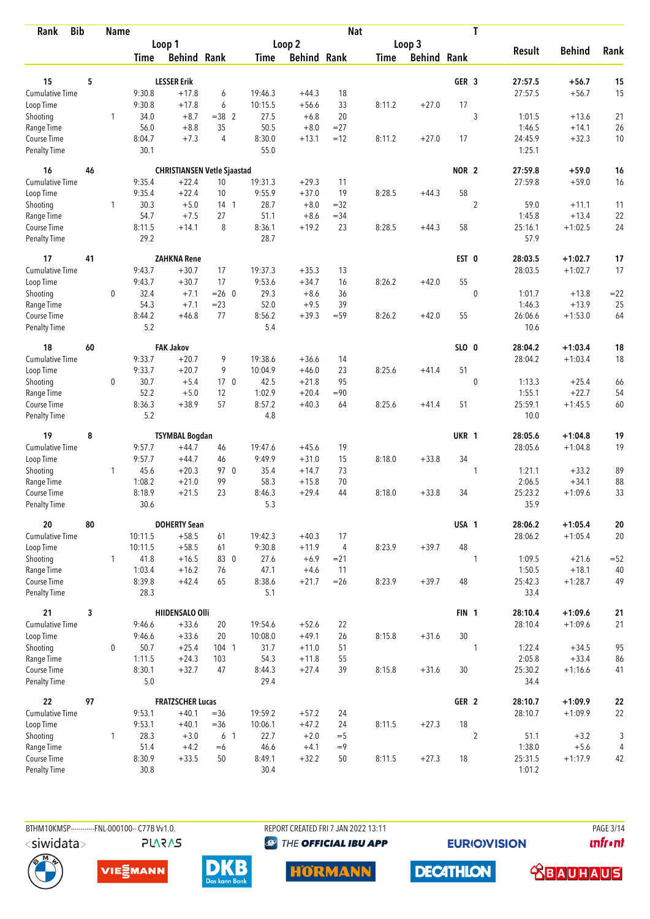| <b>Bib</b><br>Rank                 |    | <b>Name</b>  |                |                                    |                 |               |                    | <b>Nat</b>     |             |                    |                  | T              |                 |               |            |
|------------------------------------|----|--------------|----------------|------------------------------------|-----------------|---------------|--------------------|----------------|-------------|--------------------|------------------|----------------|-----------------|---------------|------------|
|                                    |    |              |                | Loop 1                             |                 |               | Loop 2             |                |             | Loop 3             |                  |                | <b>Result</b>   | <b>Behind</b> | Rank       |
|                                    |    |              | <b>Time</b>    | <b>Behind Rank</b>                 |                 | Time          | <b>Behind Rank</b> |                | <b>Time</b> | <b>Behind Rank</b> |                  |                |                 |               |            |
| 15                                 | 5  |              |                | <b>LESSER Erik</b>                 |                 |               |                    |                |             |                    | GER <sub>3</sub> |                | 27:57.5         | $+56.7$       | 15         |
| <b>Cumulative Time</b>             |    |              | 9:30.8         | $+17.8$                            | 6               | 19:46.3       | $+44.3$            | 18             |             |                    |                  |                | 27:57.5         | $+56.7$       | 15         |
|                                    |    |              | 9:30.8         | $+17.8$                            | 6               | 10:15.5       | $+56.6$            | 33             | 8:11.2      | $+27.0$            | 17               |                |                 |               |            |
| Loop Time<br>Shooting              |    | 1            | 34.0           | $+8.7$                             | $=38$ 2         | 27.5          | $+6.8$             | 20             |             |                    |                  | 3              | 1:01.5          | $+13.6$       | 21         |
| Range Time                         |    |              | 56.0           | $+8.8$                             | 35              | 50.5          | $+8.0$             | $= 27$         |             |                    |                  |                | 1:46.5          | $+14.1$       | 26         |
| Course Time                        |    |              | 8:04.7         | $+7.3$                             | 4               | 8:30.0        | $+13.1$            | $=12$          | 8:11.2      | $+27.0$            | 17               |                | 24:45.9         | $+32.3$       | 10         |
| <b>Penalty Time</b>                |    |              | 30.1           |                                    |                 | 55.0          |                    |                |             |                    |                  |                | 1:25.1          |               |            |
| 16                                 | 46 |              |                | <b>CHRISTIANSEN Vetle Sjaastad</b> |                 |               |                    |                |             |                    | NOR <sub>2</sub> |                | 27:59.8         | $+59.0$       | 16         |
| <b>Cumulative Time</b>             |    |              | 9:35.4         | $+22.4$                            | 10              | 19:31.3       | $+29.3$            | 11             |             |                    |                  |                | 27:59.8         | $+59.0$       | 16         |
| Loop Time                          |    |              | 9:35.4         | $+22.4$                            | 10              | 9:55.9        | $+37.0$            | 19             | 8:28.5      | $+44.3$            | 58               |                |                 |               |            |
| Shooting                           |    | 1            | 30.3           | $+5.0$                             | 14 <sub>1</sub> | 28.7          | $+8.0$             | $=32$          |             |                    |                  | $\overline{2}$ | 59.0            | $+11.1$       | 11         |
| Range Time                         |    |              | 54.7           | $+7.5$                             | 27              | 51.1          | $+8.6$             | $= 34$         |             |                    |                  |                | 1:45.8          | $+13.4$       | 22         |
| Course Time                        |    |              | 8:11.5         | $+14.1$                            | 8               | 8:36.1        | $+19.2$            | 23             | 8:28.5      | $+44.3$            | 58               |                | 25:16.1         | $+1:02.5$     | 24         |
| <b>Penalty Time</b>                |    |              | 29.2           |                                    |                 | 28.7          |                    |                |             |                    |                  |                | 57.9            |               |            |
| 17                                 | 41 |              |                | <b>ZAHKNA Rene</b>                 |                 |               |                    |                |             |                    | EST 0            |                | 28:03.5         | $+1:02.7$     | 17         |
| <b>Cumulative Time</b>             |    |              | 9:43.7         | $+30.7$                            | 17              | 19:37.3       | $+35.3$            | 13             |             |                    |                  |                | 28:03.5         | $+1:02.7$     | 17         |
| Loop Time                          |    |              | 9:43.7         | $+30.7$                            | 17              | 9:53.6        | $+34.7$            | 16             | 8:26.2      | $+42.0$            | 55               |                |                 |               |            |
| Shooting                           |    | $\mathbf 0$  | 32.4           | $+7.1$                             | $= 26$ 0        | 29.3          | $+8.6$             | 36             |             |                    |                  | $\mathbf 0$    | 1:01.7          | $+13.8$       | $=22$      |
| Range Time                         |    |              | 54.3           | $+7.1$                             | $=23$           | 52.0          | $+9.5$             | 39             |             |                    |                  |                | 1:46.3          | $+13.9$       | 25         |
| Course Time<br><b>Penalty Time</b> |    |              | 8:44.2<br>5.2  | $+46.8$                            | 77              | 8:56.2<br>5.4 | $+39.3$            | $= 59$         | 8:26.2      | $+42.0$            | 55               |                | 26:06.6<br>10.6 | $+1:53.0$     | 64         |
| 18                                 | 60 |              |                | <b>FAK Jakov</b>                   |                 |               |                    |                |             |                    | SLO 0            |                | 28:04.2         | $+1:03.4$     | 18         |
| Cumulative Time                    |    |              | 9:33.7         | $+20.7$                            | 9               | 19:38.6       | $+36.6$            | 14             |             |                    |                  |                | 28:04.2         | $+1:03.4$     | 18         |
| Loop Time                          |    |              | 9:33.7         | $+20.7$                            | 9               | 10:04.9       | $+46.0$            | 23             | 8:25.6      | $+41.4$            | 51               |                |                 |               |            |
| Shooting                           |    | 0            | 30.7           | $+5.4$                             | 17 <sub>0</sub> | 42.5          | $+21.8$            | 95             |             |                    |                  | $\mathbf 0$    | 1:13.3          | $+25.4$       | 66         |
| Range Time                         |    |              | 52.2           | $+5.0$                             | 12              | 1:02.9        | $+20.4$            | $= 90$         |             |                    |                  |                | 1:55.1          | $+22.7$       | 54         |
| Course Time                        |    |              | 8:36.3         | $+38.9$                            | 57              | 8:57.2        | $+40.3$            | 64             | 8:25.6      | $+41.4$            | 51               |                | 25:59.1         | $+1:45.5$     | 60         |
| <b>Penalty Time</b>                |    |              | 5.2            |                                    |                 | 4.8           |                    |                |             |                    |                  |                | 10.0            |               |            |
| 19                                 | 8  |              |                | <b>TSYMBAL Bogdan</b>              |                 |               |                    |                |             |                    | UKR 1            |                | 28:05.6         | $+1:04.8$     | 19         |
| Cumulative Time                    |    |              | 9:57.7         | $+44.7$                            | 46              | 19:47.6       | $+45.6$            | 19             |             |                    |                  |                | 28:05.6         | $+1:04.8$     | 19         |
| Loop Time                          |    |              | 9:57.7         | $+44.7$                            | 46              | 9:49.9        | $+31.0$            | 15             | 8:18.0      | $+33.8$            | 34               |                |                 |               |            |
| Shooting                           |    | $\mathbf{1}$ | 45.6           | $+20.3$                            | 97 0            | 35.4          | $+14.7$            | 73             |             |                    |                  | 1              | 1:21.1          | $+33.2$       | 89         |
| Range Time                         |    |              | 1:08.2         | $+21.0$                            | 99              | 58.3          | $+15.8$            | 70             |             |                    |                  |                | 2:06.5          | $+34.1$       | 88         |
| Course Time                        |    |              | 8:18.9         | $+21.5$                            | 23              | 8:46.3        | $+29.4$            | 44             | 8:18.0      | $+33.8$            | 34               |                | 25:23.2         | $+1:09.6$     | 33         |
| <b>Penalty Time</b>                |    |              | 30.6           |                                    |                 | 5.3           |                    |                |             |                    |                  |                | 35.9            |               |            |
| 20                                 | 80 |              |                | <b>DOHERTY Sean</b>                |                 |               |                    |                |             |                    | USA 1            |                | 28:06.2         | $+1:05.4$     | ${\bf 20}$ |
| <b>Cumulative Time</b>             |    |              | 10:11.5        | $+58.5$                            | 61              | 19:42.3       | $+40.3$            | 17             |             |                    |                  |                | 28:06.2         | $+1:05.4$     | 20         |
| Loop Time                          |    |              | 10:11.5        | $+58.5$                            | 61              | 9:30.8        | $+11.9$            | $\overline{4}$ | 8:23.9      | $+39.7$            | 48               |                |                 |               |            |
| Shooting                           |    | $\mathbf{1}$ | 41.8           | $+16.5$                            | 83 0            | 27.6          | $+6.9$             | $= 21$         |             |                    |                  | 1              | 1:09.5          | $+21.6$       | $= 52$     |
| Range Time                         |    |              | 1:03.4         | $+16.2$                            | 76              | 47.1          | $+4.6$             | 11             |             |                    |                  |                | 1:50.5          | $+18.1$       | 40         |
| Course Time<br>Penalty Time        |    |              | 8:39.8<br>28.3 | $+42.4$                            | 65              | 8:38.6<br>5.1 | $+21.7$            | $=26$          | 8:23.9      | $+39.7$            | 48               |                | 25:42.3<br>33.4 | $+1:28.7$     | 49         |
| 21                                 | 3  |              |                | <b>HIIDENSALO Olli</b>             |                 |               |                    |                |             |                    | FIN <sub>1</sub> |                | 28:10.4         | $+1:09.6$     | 21         |
| <b>Cumulative Time</b>             |    |              | 9:46.6         | $+33.6$                            | 20              | 19:54.6       | $+52.6$            | 22             |             |                    |                  |                | 28:10.4         | $+1:09.6$     | 21         |
| Loop Time                          |    |              | 9:46.6         | $+33.6$                            | 20              | 10:08.0       | $+49.1$            | 26             | 8:15.8      | $+31.6$            | 30               |                |                 |               |            |
| Shooting                           |    | 0            | 50.7           | $+25.4$                            | 104 1           | 31.7          | $+11.0$            | 51             |             |                    |                  | 1              | 1:22.4          | $+34.5$       | 95         |
| Range Time                         |    |              | 1:11.5         | $+24.3$                            | 103             | 54.3          | $+11.8$            | 55             |             |                    |                  |                | 2:05.8          | $+33.4$       | 86         |
| Course Time                        |    |              | 8:30.1         | $+32.7$                            | 47              | 8:44.3        | $+27.4$            | 39             | 8:15.8      | $+31.6$            | 30               |                | 25:30.2         | $+1:16.6$     | 41         |
| Penalty Time                       |    |              | $5.0$          |                                    |                 | 29.4          |                    |                |             |                    |                  |                | 34.4            |               |            |
| 22                                 | 97 |              |                | <b>FRATZSCHER Lucas</b>            |                 |               |                    |                |             |                    | GER <sub>2</sub> |                | 28:10.7         | $+1:09.9$     | ${\bf 22}$ |
| <b>Cumulative Time</b>             |    |              | 9:53.1         | $+40.1$                            | $= 36$          | 19:59.2       | $+57.2$            | 24             |             |                    |                  |                | 28:10.7         | $+1:09.9$     | 22         |
| Loop Time                          |    |              | 9:53.1         | $+40.1$                            | $=36$           | 10:06.1       | $+47.2$            | 24             | 8:11.5      | $+27.3$            | 18               |                |                 |               |            |
| Shooting                           |    | 1            | 28.3           | $+3.0$                             | 6 1             | 22.7          | $+2.0$             | $=$ 5          |             |                    |                  | $\overline{2}$ | 51.1            | $+3.2$        | 3          |
| Range Time                         |    |              | 51.4           | $+4.2$                             | $=6$            | 46.6          | $+4.1$             | $=9$           |             |                    |                  |                | 1:38.0          | $+5.6$        | 4          |
| Course Time                        |    |              | 8:30.9         | $+33.5$                            | 50              | 8:49.1        | $+32.2$            | 50             | 8:11.5      | $+27.3$            | 18               |                | 25:31.5         | $+1:17.9$     | 42         |
| Penalty Time                       |    |              | 30.8           |                                    |                 | 30.4          |                    |                |             |                    |                  |                | 1:01.2          |               |            |



BTHM10KMSP------------FNL-000100-- C77B Vv1.0.

**PLARAS** 

REPORT CREATED FRI 7 JAN 2022 13:11 **@** THE OFFICIAL IBU APP

**EURIOVISION** 

**DECATHLON** 

PAGE 3/14 *<u><u>Infront</u>*</u>









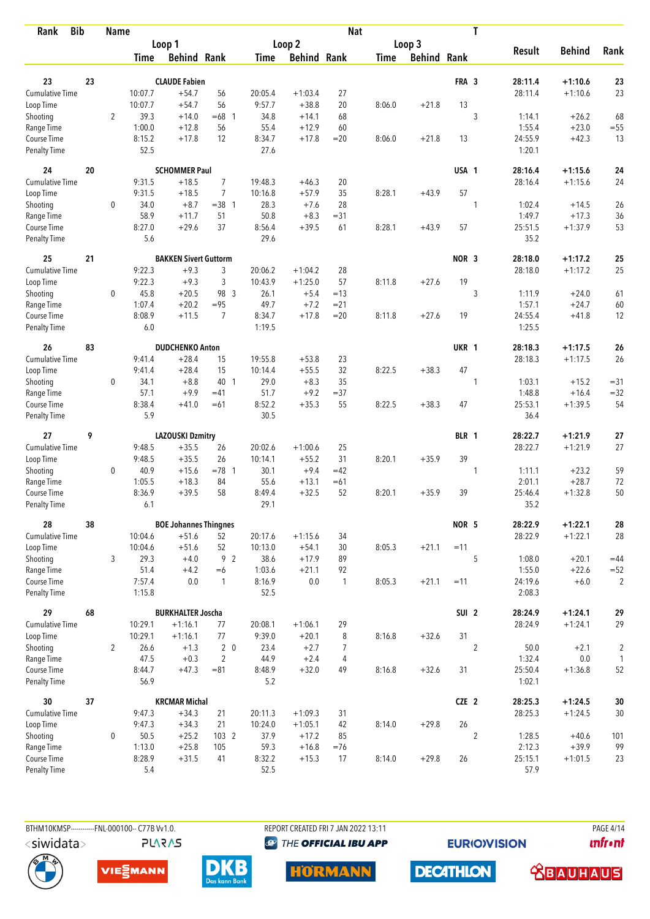| <b>Bib</b><br>Rank          |    | <b>Name</b>    |                  |                              |                |                |                    | <b>Nat</b>     |             |                    |                  | T                |                   |               |                |
|-----------------------------|----|----------------|------------------|------------------------------|----------------|----------------|--------------------|----------------|-------------|--------------------|------------------|------------------|-------------------|---------------|----------------|
|                             |    |                |                  | Loop 1                       |                |                | Loop 2             |                |             | Loop 3             |                  |                  |                   |               |                |
|                             |    |                | Time             | <b>Behind Rank</b>           |                | Time           | <b>Behind Rank</b> |                | <b>Time</b> | <b>Behind Rank</b> |                  |                  | <b>Result</b>     | <b>Behind</b> | Rank           |
| 23                          | 23 |                |                  | <b>CLAUDE Fabien</b>         |                |                |                    |                |             |                    | FRA 3            |                  | 28:11.4           | $+1:10.6$     | 23             |
| <b>Cumulative Time</b>      |    |                | 10:07.7          | $+54.7$                      | 56             | 20:05.4        | $+1:03.4$          | 27             |             |                    |                  |                  | 28:11.4           | $+1:10.6$     | 23             |
|                             |    |                | 10:07.7          | $+54.7$                      | 56             | 9:57.7         | $+38.8$            | 20             | 8:06.0      | $+21.8$            | 13               |                  |                   |               |                |
| Loop Time                   |    | $\overline{2}$ | 39.3             | $+14.0$                      | $=68$ 1        | 34.8           | $+14.1$            | 68             |             |                    |                  | 3                | 1:14.1            | $+26.2$       | 68             |
| Shooting<br>Range Time      |    |                | 1:00.0           | $+12.8$                      | 56             | 55.4           | $+12.9$            | 60             |             |                    |                  |                  | 1:55.4            | $+23.0$       | $=55$          |
| Course Time                 |    |                | 8:15.2           | $+17.8$                      | 12             | 8:34.7         | $+17.8$            | $=20$          | 8:06.0      | $+21.8$            | 13               |                  | 24:55.9           | $+42.3$       | 13             |
| <b>Penalty Time</b>         |    |                | 52.5             |                              |                | 27.6           |                    |                |             |                    |                  |                  | 1:20.1            |               |                |
| 24                          | 20 |                |                  | <b>SCHOMMER Paul</b>         |                |                |                    |                |             |                    | USA 1            |                  | 28:16.4           | $+1:15.6$     | 24             |
| Cumulative Time             |    |                | 9:31.5           | $+18.5$                      | $\overline{7}$ | 19:48.3        | $+46.3$            | 20             |             |                    |                  |                  | 28:16.4           | $+1:15.6$     | 24             |
| Loop Time                   |    |                | 9:31.5           | $+18.5$                      | $\overline{7}$ | 10:16.8        | $+57.9$            | 35             | 8:28.1      | $+43.9$            | 57               |                  |                   |               |                |
| Shooting                    |    | 0              | 34.0             | $+8.7$                       | $=38$ 1        | 28.3           | $+7.6$             | 28             |             |                    |                  | 1                | 1:02.4            | $+14.5$       | 26             |
| Range Time                  |    |                | 58.9             | $+11.7$                      | 51             | 50.8           | $+8.3$             | $= 31$         |             |                    |                  |                  | 1:49.7            | $+17.3$       | 36             |
| Course Time                 |    |                | 8:27.0           | $+29.6$                      | 37             | 8:56.4         | $+39.5$            | 61             | 8:28.1      | $+43.9$            | 57               |                  | 25:51.5           | $+1:37.9$     | 53             |
| <b>Penalty Time</b>         |    |                | 5.6              |                              |                | 29.6           |                    |                |             |                    |                  |                  | 35.2              |               |                |
| 25                          | 21 |                |                  | <b>BAKKEN Sivert Guttorm</b> |                |                |                    |                |             |                    | NOR <sub>3</sub> |                  | 28:18.0           | $+1:17.2$     | 25             |
| <b>Cumulative Time</b>      |    |                | 9:22.3           | $+9.3$                       | 3              | 20:06.2        | $+1:04.2$          | 28             |             |                    |                  |                  | 28:18.0           | $+1:17.2$     | 25             |
| Loop Time                   |    |                | 9:22.3           | $+9.3$                       | 3              | 10:43.9        | $+1:25.0$          | 57             | 8:11.8      | $+27.6$            | 19               |                  |                   |               |                |
| Shooting                    |    | 0              | 45.8             | $+20.5$                      | 98 3           | 26.1           | $+5.4$             | $=13$          |             |                    |                  | 3                | 1:11.9            | $+24.0$       | 61             |
| Range Time                  |    |                | 1:07.4           | $+20.2$                      | $= 95$         | 49.7           | $+7.2$             | $= 21$         |             |                    |                  |                  | 1:57.1            | $+24.7$       | 60             |
| Course Time                 |    |                | 8:08.9           | $+11.5$                      | $\overline{7}$ | 8:34.7         | $+17.8$            | $= 20$         | 8:11.8      | $+27.6$            | 19               |                  | 24:55.4           | $+41.8$       | 12             |
| <b>Penalty Time</b>         |    |                | 6.0              |                              |                | 1:19.5         |                    |                |             |                    |                  |                  | 1:25.5            |               |                |
| 26                          | 83 |                |                  | <b>DUDCHENKO Anton</b>       |                |                |                    |                |             |                    | UKR 1            |                  | 28:18.3           | $+1:17.5$     | 26             |
| <b>Cumulative Time</b>      |    |                | 9:41.4           | $+28.4$                      | 15             | 19:55.8        | $+53.8$            | 23             |             |                    |                  |                  | 28:18.3           | $+1:17.5$     | 26             |
| Loop Time                   |    |                | 9:41.4           | $+28.4$                      | 15             | 10:14.4        | $+55.5$            | 32             | 8:22.5      | $+38.3$            | 47               |                  |                   |               |                |
| Shooting                    |    | 0              | 34.1             | $+8.8$                       | 40 1           | 29.0           | $+8.3$             | 35             |             |                    |                  | 1                | 1:03.1            | $+15.2$       | $= 31$         |
| Range Time                  |    |                | 57.1             | $+9.9$                       | $=41$          | 51.7           | $+9.2$             | $=37$          |             |                    |                  |                  | 1:48.8            | $+16.4$       | $= 32$         |
| Course Time                 |    |                | 8:38.4           | $+41.0$                      | $=61$          | 8:52.2         | $+35.3$            | 55             | 8:22.5      | $+38.3$            | 47               |                  | 25:53.1           | $+1:39.5$     | 54             |
| <b>Penalty Time</b>         |    |                | 5.9              |                              |                | 30.5           |                    |                |             |                    |                  |                  | 36.4              |               |                |
| 27                          | 9  |                |                  | <b>LAZOUSKI Dzmitry</b>      |                |                |                    |                |             |                    | BLR 1            |                  | 28:22.7           | $+1:21.9$     | 27             |
| Cumulative Time             |    |                | 9:48.5           | $+35.5$                      | 26             | 20:02.6        | $+1:00.6$          | 25             |             |                    |                  |                  | 28:22.7           | $+1:21.9$     | 27             |
| Loop Time                   |    |                | 9:48.5           | $+35.5$                      | 26             | 10:14.1        | $+55.2$            | 31             | 8:20.1      | $+35.9$            | 39               |                  |                   |               |                |
| Shooting                    |    | 0              | 40.9             | $+15.6$                      | $= 78$ 1       | 30.1           | $+9.4$             | $=42$          |             |                    |                  | 1                | 1:11.1            | $+23.2$       | 59             |
| Range Time                  |    |                | 1:05.5           | $+18.3$                      | 84             | 55.6           | $+13.1$            | $=61$          |             |                    |                  |                  | 2:01.1            | $+28.7$       | 72             |
| Course Time                 |    |                | 8:36.9           | $+39.5$                      | 58             | 8:49.4         | $+32.5$            | 52             | 8:20.1      | $+35.9$            | 39               |                  | 25:46.4           | $+1:32.8$     | 50             |
| <b>Penalty Time</b>         |    |                | 6.1              |                              |                | 29.1           |                    |                |             |                    |                  |                  | 35.2              |               |                |
| 28                          | 38 |                |                  | <b>BOE Johannes Thingnes</b> |                |                |                    |                |             |                    | NOR 5            |                  | 28:22.9           | $+1:22.1$     | 28             |
| Cumulative Time             |    |                | 10:04.6          | $+51.6$                      | 52             | 20:17.6        | $+1:15.6$          | 34             |             |                    |                  |                  | 28:22.9           | $+1:22.1$     | 28             |
| Loop Time                   |    |                | 10:04.6          | $+51.6$                      | 52             | 10:13.0        | $+54.1$            | 30             | 8:05.3      | $+21.1$            | $=11$            |                  |                   |               |                |
| Shooting                    |    | 3              | 29.3             | $+4.0$                       | 9 2            | 38.6           | $+17.9$            | 89             |             |                    |                  | 5                | 1:08.0            | $+20.1$       | $=44$          |
| Range Time                  |    |                | 51.4             | $+4.2$                       | $=6$           | 1:03.6         | $+21.1$            | 92             |             |                    |                  |                  | 1:55.0            | $+22.6$       | $=52$          |
| Course Time<br>Penalty Time |    |                | 7:57.4<br>1:15.8 | 0.0                          | $\mathbf{1}$   | 8:16.9<br>52.5 | 0.0                | $\mathbf{1}$   | 8:05.3      | $+21.1$            | $=11$            |                  | 24:19.6<br>2:08.3 | $+6.0$        | $\sqrt{2}$     |
| 29                          | 68 |                |                  | <b>BURKHALTER Joscha</b>     |                |                |                    |                |             |                    | SUI <sub>2</sub> |                  | 28:24.9           | $+1:24.1$     | 29             |
| Cumulative Time             |    |                | 10:29.1          | $+1:16.1$                    | 77             | 20:08.1        | $+1:06.1$          | 29             |             |                    |                  |                  | 28:24.9           | $+1:24.1$     | 29             |
| Loop Time                   |    |                | 10:29.1          | $+1:16.1$                    | 77             | 9:39.0         | $+20.1$            | 8              | 8:16.8      | $+32.6$            | 31               |                  |                   |               |                |
| Shooting                    |    | $\overline{2}$ | 26.6             | $+1.3$                       | 2 <sub>0</sub> | 23.4           | $+2.7$             | $\overline{7}$ |             |                    |                  | $\overline{2}$   | 50.0              | $+2.1$        | $\overline{c}$ |
| Range Time                  |    |                | 47.5             | $+0.3$                       | 2              | 44.9           | $+2.4$             | $\overline{4}$ |             |                    |                  |                  | 1:32.4            | 0.0           | 1              |
| Course Time                 |    |                | 8:44.7           | $+47.3$                      | $= 81$         | 8:48.9         | $+32.0$            | 49             | 8:16.8      | $+32.6$            | 31               |                  | 25:50.4           | $+1:36.8$     | 52             |
| Penalty Time                |    |                | 56.9             |                              |                | 5.2            |                    |                |             |                    |                  |                  | 1:02.1            |               |                |
| 30                          | 37 |                |                  | <b>KRCMAR Michal</b>         |                |                |                    |                |             |                    | CZE 2            |                  | 28:25.3           | $+1:24.5$     | $30\,$         |
| Cumulative Time             |    |                | 9:47.3           | $+34.3$                      | 21             | 20:11.3        | $+1:09.3$          | 31             |             |                    |                  |                  | 28:25.3           | $+1:24.5$     | 30             |
| Loop Time                   |    |                | 9:47.3           | $+34.3$                      | 21             | 10:24.0        | $+1:05.1$          | 42             | 8:14.0      | $+29.8$            | 26               |                  |                   |               |                |
| Shooting                    |    | 0              | 50.5             | $+25.2$                      | 103 2          | 37.9           | $+17.2$            | 85             |             |                    |                  | $\boldsymbol{2}$ | 1:28.5            | $+40.6$       | 101            |
| Range Time                  |    |                | 1:13.0           | $+25.8$                      | 105            | 59.3           | $+16.8$            | $=76$          |             |                    |                  |                  | 2:12.3            | $+39.9$       | 99             |
| Course Time                 |    |                | 8:28.9           | $+31.5$                      | 41             | 8:32.2         | $+15.3$            | 17             | 8:14.0      | $+29.8$            | 26               |                  | 25:15.1           | $+1:01.5$     | 23             |
| Penalty Time                |    |                | 5.4              |                              |                | 52.5           |                    |                |             |                    |                  |                  | 57.9              |               |                |

BTHM10KMSP------------FNL-000100-- C77B Vv1.0. **PLARAS**  REPORT CREATED FRI 7 JAN 2022 13:11 **@** THE OFFICIAL IBU APP

**HORMANN** 

**EURIOVISION** 

**PAGE 4/14** *<u><u>Infront</u>*</u>







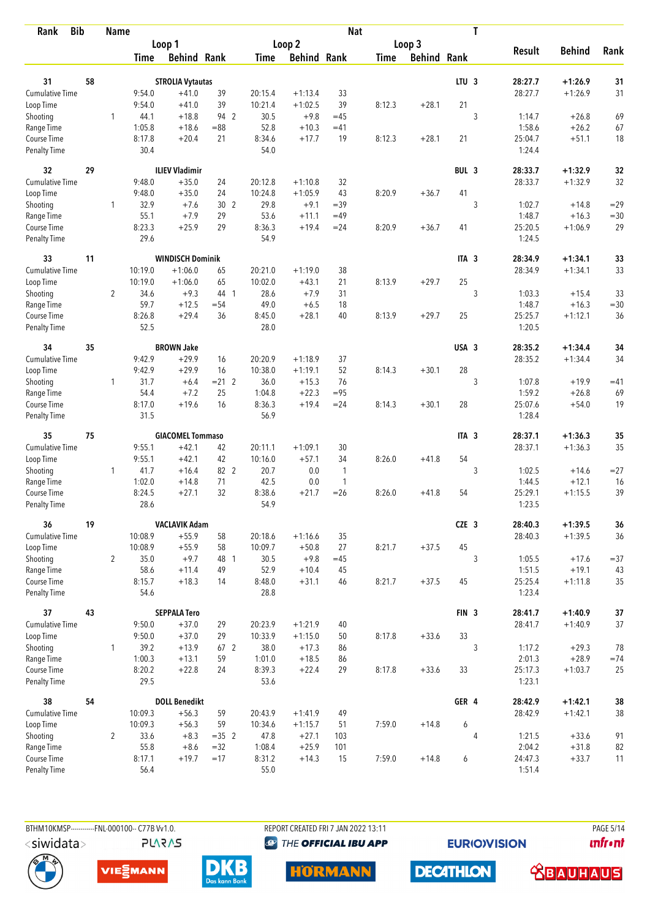| <b>Bib</b><br>Rank          |    | <b>Name</b>    |                |                         |                 |                |                    | <b>Nat</b>   |             |                    |                  | T              |                   |                    |              |
|-----------------------------|----|----------------|----------------|-------------------------|-----------------|----------------|--------------------|--------------|-------------|--------------------|------------------|----------------|-------------------|--------------------|--------------|
|                             |    |                |                | Loop 1                  |                 |                | Loop 2             |              |             | Loop 3             |                  |                |                   |                    |              |
|                             |    |                | <b>Time</b>    | <b>Behind Rank</b>      |                 | Time           | <b>Behind Rank</b> |              | <b>Time</b> | <b>Behind Rank</b> |                  |                | <b>Result</b>     | <b>Behind</b>      | Rank         |
| 31                          | 58 |                |                | <b>STROLIA Vytautas</b> |                 |                |                    |              |             |                    | LTU <sub>3</sub> |                | 28:27.7           | $+1:26.9$          | 31           |
| <b>Cumulative Time</b>      |    |                | 9:54.0         | $+41.0$                 | 39              | 20:15.4        | $+1:13.4$          | 33           |             |                    |                  |                | 28:27.7           | $+1:26.9$          | 31           |
| Loop Time                   |    |                | 9:54.0         | $+41.0$                 | 39              | 10:21.4        | $+1:02.5$          | 39           | 8:12.3      | $+28.1$            | 21               |                |                   |                    |              |
| Shooting                    |    | $\mathbf{1}$   | 44.1           | $+18.8$                 | 94 2            | 30.5           | $+9.8$             | $=45$        |             |                    |                  | 3              | 1:14.7            | $+26.8$            | 69           |
| Range Time                  |    |                | 1:05.8         | $+18.6$                 | $= 88$          | 52.8           | $+10.3$            | $=41$        |             |                    |                  |                | 1:58.6            | $+26.2$            | 67           |
| Course Time                 |    |                | 8:17.8         | $+20.4$                 | 21              | 8:34.6         | $+17.7$            | 19           | 8:12.3      | $+28.1$            | 21               |                | 25:04.7           | $+51.1$            | 18           |
| <b>Penalty Time</b>         |    |                | 30.4           |                         |                 | 54.0           |                    |              |             |                    |                  |                | 1:24.4            |                    |              |
| 32                          | 29 |                |                | <b>ILIEV Vladimir</b>   |                 |                |                    |              |             |                    | BUL 3            |                | 28:33.7           | $+1:32.9$          | 32           |
| Cumulative Time             |    |                | 9:48.0         | $+35.0$                 | 24              | 20:12.8        | $+1:10.8$          | 32           |             |                    |                  |                | 28:33.7           | $+1:32.9$          | 32           |
| Loop Time                   |    |                | 9:48.0         | $+35.0$                 | 24              | 10:24.8        | $+1:05.9$          | 43           | 8:20.9      | $+36.7$            | 41               |                |                   |                    |              |
| Shooting                    |    | 1              | 32.9           | $+7.6$                  | 30 <sub>2</sub> | 29.8           | $+9.1$             | $=39$        |             |                    |                  | 3              | 1:02.7            | $+14.8$            | $=29$        |
| Range Time                  |    |                | 55.1           | $+7.9$                  | 29              | 53.6           | $+11.1$            | $=49$        |             |                    |                  |                | 1:48.7            | $+16.3$            | $= 30$       |
| Course Time                 |    |                | 8:23.3         | $+25.9$                 | 29              | 8:36.3         | $+19.4$            | $= 24$       | 8:20.9      | $+36.7$            | 41               |                | 25:20.5           | $+1:06.9$          | 29           |
| Penalty Time                |    |                | 29.6           |                         |                 | 54.9           |                    |              |             |                    |                  |                | 1:24.5            |                    |              |
| 33                          | 11 |                |                | <b>WINDISCH Dominik</b> |                 |                |                    |              |             |                    | ITA <sub>3</sub> |                | 28:34.9           | $+1:34.1$          | 33           |
| <b>Cumulative Time</b>      |    |                | 10:19.0        | $+1:06.0$               | 65              | 20:21.0        | $+1:19.0$          | 38           |             |                    |                  |                | 28:34.9           | $+1:34.1$          | 33           |
| Loop Time                   |    |                | 10:19.0        | $+1:06.0$               | 65              | 10:02.0        | $+43.1$            | 21           | 8:13.9      | $+29.7$            | 25               |                |                   |                    |              |
| Shooting                    |    | $\overline{2}$ | 34.6           | $+9.3$                  | 44 1            | 28.6           | $+7.9$             | 31           |             |                    |                  | 3              | 1:03.3            | $+15.4$            | 33           |
| Range Time                  |    |                | 59.7           | $+12.5$                 | $= 54$          | 49.0           | $+6.5$             | 18           |             |                    |                  |                | 1:48.7            | $+16.3$            | $= 30$       |
| Course Time<br>Penalty Time |    |                | 8:26.8<br>52.5 | $+29.4$                 | 36              | 8:45.0<br>28.0 | $+28.1$            | 40           | 8:13.9      | $+29.7$            | 25               |                | 25:25.7<br>1:20.5 | $+1:12.1$          | 36           |
| 34                          | 35 |                |                | <b>BROWN Jake</b>       |                 |                |                    |              |             |                    | USA 3            |                | 28:35.2           | $+1:34.4$          | 34           |
| Cumulative Time             |    |                | 9:42.9         | $+29.9$                 | 16              | 20:20.9        | $+1:18.9$          | 37           |             |                    |                  |                | 28:35.2           | $+1:34.4$          | 34           |
| Loop Time                   |    |                | 9:42.9         | $+29.9$                 | 16              | 10:38.0        | $+1:19.1$          | 52           | 8:14.3      | $+30.1$            | 28               |                |                   |                    |              |
| Shooting                    |    | $\mathbf{1}$   | 31.7           | $+6.4$                  | $= 21$ 2        | 36.0           | $+15.3$            | 76           |             |                    |                  | 3              | 1:07.8            | $+19.9$            | $=41$        |
| Range Time                  |    |                | 54.4           | $+7.2$                  | 25              | 1:04.8         | $+22.3$            | $= 95$       |             |                    |                  |                | 1:59.2            | $+26.8$            | 69           |
| Course Time                 |    |                | 8:17.0         | $+19.6$                 | 16              | 8:36.3         | $+19.4$            | $= 24$       | 8:14.3      | $+30.1$            | 28               |                | 25:07.6           | $+54.0$            | 19           |
| <b>Penalty Time</b>         |    |                | 31.5           |                         |                 | 56.9           |                    |              |             |                    |                  |                | 1:28.4            |                    |              |
| 35                          | 75 |                |                | <b>GIACOMEL Tommaso</b> |                 |                |                    |              |             |                    | ITA <sub>3</sub> |                | 28:37.1           | $+1:36.3$          | 35           |
| Cumulative Time             |    |                | 9:55.1         | $+42.1$                 | 42              | 20:11.1        | $+1:09.1$          | 30           |             |                    |                  |                | 28:37.1           | $+1:36.3$          | 35           |
| Loop Time                   |    |                | 9:55.1         | $+42.1$                 | 42              | 10:16.0        | $+57.1$            | 34           | 8:26.0      | $+41.8$            | 54               |                |                   |                    |              |
| Shooting                    |    | 1              | 41.7           | $+16.4$                 | 82 2            | 20.7           | 0.0                | $\mathbf{1}$ |             |                    |                  | 3              | 1:02.5            | $+14.6$            | $= 27$       |
| Range Time                  |    |                | 1:02.0         | $+14.8$                 | 71              | 42.5           | 0.0                | $\mathbf{1}$ |             |                    |                  |                | 1:44.5            | $+12.1$            | 16           |
| Course Time                 |    |                | 8:24.5         | $+27.1$                 | 32              | 8:38.6         | $+21.7$            | $= 26$       | 8:26.0      | $+41.8$            | 54               |                | 25:29.1           | $+1:15.5$          | 39           |
| <b>Penalty Time</b>         |    |                | 28.6           |                         |                 | 54.9           |                    |              |             |                    |                  |                | 1:23.5            |                    |              |
| 36                          | 19 |                |                | <b>VACLAVIK Adam</b>    |                 |                |                    |              |             |                    | CZE 3            |                | 28:40.3           | $+1:39.5$          | 36           |
| Cumulative Time             |    |                | 10:08.9        | $+55.9$                 | 58              | 20:18.6        | $+1:16.6$          | 35           |             |                    |                  |                | 28:40.3           | $+1:39.5$          | 36           |
| Loop Time                   |    |                | 10:08.9        | $+55.9$                 | 58              | 10:09.7        | $+50.8$            | 27           | 8:21.7      | $+37.5$            | 45               |                |                   |                    |              |
| Shooting<br>Range Time      |    | $\overline{2}$ | 35.0<br>58.6   | $+9.7$<br>$+11.4$       | 48 1<br>49      | 30.5<br>52.9   | $+9.8$<br>$+10.4$  | $=45$<br>45  |             |                    |                  | 3              | 1:05.5<br>1:51.5  | $+17.6$<br>$+19.1$ | $= 37$<br>43 |
| Course Time                 |    |                | 8:15.7         | $+18.3$                 | 14              | 8:48.0         | $+31.1$            | 46           | 8:21.7      | $+37.5$            | 45               |                | 25:25.4           | $+1:11.8$          | 35           |
| Penalty Time                |    |                | 54.6           |                         |                 | 28.8           |                    |              |             |                    |                  |                | 1:23.4            |                    |              |
| 37                          | 43 |                |                | <b>SEPPALA Tero</b>     |                 |                |                    |              |             |                    | FIN <sub>3</sub> |                | 28:41.7           | $+1:40.9$          | $37$         |
| Cumulative Time             |    |                | 9:50.0         | $+37.0$                 | 29              | 20:23.9        | $+1:21.9$          | 40           |             |                    |                  |                | 28:41.7           | $+1:40.9$          | 37           |
| Loop Time                   |    |                | 9:50.0         | $+37.0$                 | 29              | 10:33.9        | $+1:15.0$          | 50           | 8:17.8      | $+33.6$            | 33               |                |                   |                    |              |
| Shooting                    |    | 1              | 39.2           | $+13.9$                 | 67 2            | 38.0           | $+17.3$            | 86           |             |                    |                  | 3              | 1:17.2            | $+29.3$            | 78           |
| Range Time                  |    |                | 1:00.3         | $+13.1$                 | 59              | 1:01.0         | $+18.5$            | 86           |             |                    |                  |                | 2:01.3            | $+28.9$            | $=74$        |
| Course Time                 |    |                | 8:20.2         | $+22.8$                 | 24              | 8:39.3         | $+22.4$            | 29           | 8:17.8      | $+33.6$            | 33               |                | 25:17.3           | $+1:03.7$          | 25           |
| Penalty Time                |    |                | 29.5           |                         |                 | 53.6           |                    |              |             |                    |                  |                | 1:23.1            |                    |              |
| 38                          | 54 |                |                | <b>DOLL Benedikt</b>    |                 |                |                    |              |             |                    | GER 4            |                | 28:42.9           | $+1:42.1$          | 38           |
| Cumulative Time             |    |                | 10:09.3        | $+56.3$                 | 59              | 20:43.9        | $+1:41.9$          | 49           |             |                    |                  |                | 28:42.9           | $+1:42.1$          | 38           |
| Loop Time                   |    |                | 10:09.3        | $+56.3$                 | 59              | 10:34.6        | $+1:15.7$          | 51           | 7:59.0      | $+14.8$            | 6                |                |                   |                    |              |
| Shooting                    |    | $\overline{2}$ | 33.6           | $+8.3$                  | $=35$ 2         | 47.8           | $+27.1$            | 103          |             |                    |                  | $\overline{4}$ | 1:21.5            | $+33.6$            | 91           |
| Range Time                  |    |                | 55.8           | $+8.6$                  | $= 32$          | 1:08.4         | $+25.9$            | 101          |             |                    |                  |                | 2:04.2            | $+31.8$            | 82           |
| Course Time                 |    |                | 8:17.1         | $+19.7$                 | $=17$           | 8:31.2         | $+14.3$            | 15           | 7:59.0      | $+14.8$            | 6                |                | 24:47.3           | $+33.7$            | 11           |
| <b>Penalty Time</b>         |    |                | 56.4           |                         |                 | 55.0           |                    |              |             |                    |                  |                | 1:51.4            |                    |              |

**PLARAS** 

BTHM10KMSP-----------FNL-000100-- C77B Vv1.0. REPORT CREATED FRI 7 JAN 2022 13:11 PAGE 5/14 **@** THE OFFICIAL IBU APP

**EURIOVISION** 

**DECATHLON** 

*<u><u>Infront</u>*</u>









 **<u>CBAUHAUS</u>**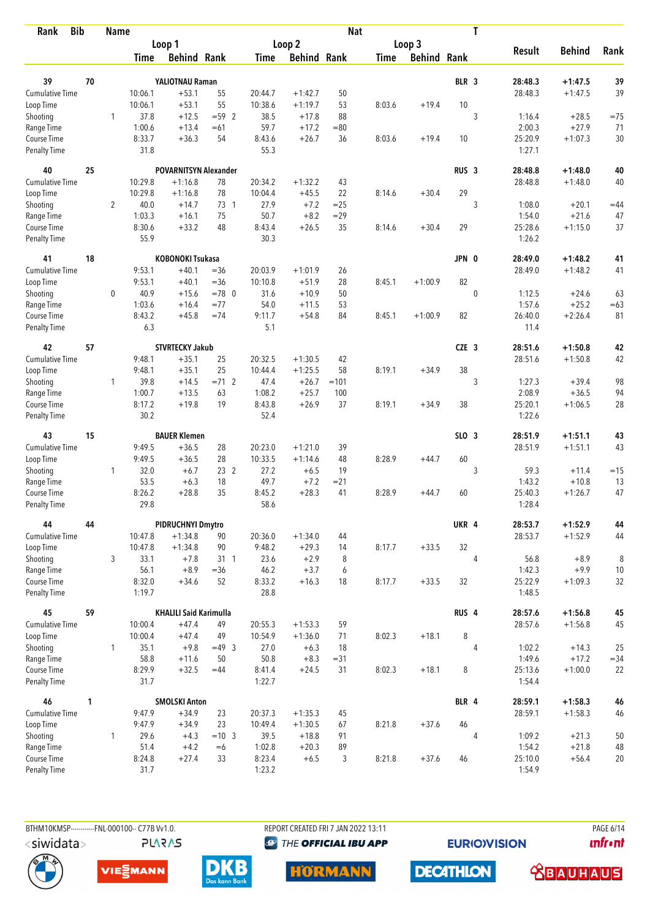| <b>Bib</b><br>Rank          |    | <b>Name</b>  |                  |                               |                  |                    |                      | <b>Nat</b> |             |                    |                  | T              |                   |                    |             |
|-----------------------------|----|--------------|------------------|-------------------------------|------------------|--------------------|----------------------|------------|-------------|--------------------|------------------|----------------|-------------------|--------------------|-------------|
|                             |    |              |                  | Loop 1                        |                  |                    | Loop 2               |            |             | Loop 3             |                  |                |                   |                    |             |
|                             |    |              | Time             | <b>Behind Rank</b>            |                  | Time               | <b>Behind Rank</b>   |            | <b>Time</b> | <b>Behind Rank</b> |                  |                | <b>Result</b>     | <b>Behind</b>      | Rank        |
| 39                          | 70 |              |                  | YALIOTNAU Raman               |                  |                    |                      |            |             |                    | BLR 3            |                | 28:48.3           | $+1:47.5$          | 39          |
| <b>Cumulative Time</b>      |    |              | 10:06.1          | $+53.1$                       | 55               | 20:44.7            | $+1:42.7$            | 50         |             |                    |                  |                | 28:48.3           | $+1:47.5$          | 39          |
| Loop Time                   |    |              | 10:06.1          | $+53.1$                       | 55               | 10:38.6            | $+1:19.7$            | 53         | 8:03.6      | $+19.4$            | 10               |                |                   |                    |             |
| Shooting                    |    | 1            | 37.8             | $+12.5$                       | $= 592$          | 38.5               | $+17.8$              | 88         |             |                    |                  | 3              | 1:16.4            | $+28.5$            | $=75$       |
| Range Time                  |    |              | 1:00.6           | $+13.4$                       | $=61$            | 59.7               | $+17.2$              | $= 80$     |             |                    |                  |                | 2:00.3            | $+27.9$            | 71          |
| Course Time                 |    |              | 8:33.7           | $+36.3$                       | 54               | 8:43.6             | $+26.7$              | 36         | 8:03.6      | $+19.4$            | 10               |                | 25:20.9           | $+1:07.3$          | 30          |
| <b>Penalty Time</b>         |    |              | 31.8             |                               |                  | 55.3               |                      |            |             |                    |                  |                | 1:27.1            |                    |             |
| 40                          | 25 |              |                  | <b>POVARNITSYN Alexander</b>  |                  |                    |                      |            |             |                    | RUS <sub>3</sub> |                | 28:48.8           | $+1:48.0$          | 40          |
| Cumulative Time             |    |              | 10:29.8          | $+1:16.8$                     | 78               | 20:34.2            | $+1:32.2$            | 43         |             |                    |                  |                | 28:48.8           | $+1:48.0$          | 40          |
| Loop Time                   |    |              | 10:29.8          | $+1:16.8$                     | 78               | 10:04.4            | $+45.5$              | 22         | 8:14.6      | $+30.4$            | 29               |                |                   |                    |             |
| Shooting                    |    | 2            | 40.0             | $+14.7$                       | 73 1             | 27.9               | $+7.2$               | $= 25$     |             |                    |                  | 3              | 1:08.0            | $+20.1$            | $=44$       |
| Range Time                  |    |              | 1:03.3           | $+16.1$                       | 75               | 50.7               | $+8.2$               | $= 29$     |             |                    |                  |                | 1:54.0            | $+21.6$            | 47          |
| Course Time                 |    |              | 8:30.6           | $+33.2$                       | 48               | 8:43.4             | $+26.5$              | 35         | 8:14.6      | $+30.4$            | 29               |                | 25:28.6           | $+1:15.0$          | 37          |
| <b>Penalty Time</b>         |    |              | 55.9             |                               |                  | 30.3               |                      |            |             |                    |                  |                | 1:26.2            |                    |             |
| 41                          | 18 |              |                  | <b>KOBONOKI Tsukasa</b>       |                  |                    |                      |            |             |                    | JPN 0            |                | 28:49.0           | $+1:48.2$          | 41          |
| <b>Cumulative Time</b>      |    |              | 9:53.1<br>9:53.1 | $+40.1$<br>$+40.1$            | $= 36$<br>$= 36$ | 20:03.9<br>10:10.8 | $+1:01.9$<br>$+51.9$ | 26<br>28   | 8:45.1      | $+1:00.9$          | 82               |                | 28:49.0           | $+1:48.2$          | 41          |
| Loop Time                   |    | 0            | 40.9             | $+15.6$                       | $=78$ 0          | 31.6               |                      | 50         |             |                    |                  | $\mathbf 0$    |                   |                    |             |
| Shooting<br>Range Time      |    |              | 1:03.6           | $+16.4$                       | $= 77$           | 54.0               | $+10.9$<br>$+11.5$   | 53         |             |                    |                  |                | 1:12.5<br>1:57.6  | $+24.6$<br>$+25.2$ | 63<br>$=63$ |
| Course Time                 |    |              | 8:43.2           | $+45.8$                       | $=74$            | 9:11.7             | $+54.8$              | 84         | 8:45.1      | $+1:00.9$          | 82               |                | 26:40.0           | $+2:26.4$          | 81          |
| Penalty Time                |    |              | 6.3              |                               |                  | 5.1                |                      |            |             |                    |                  |                | 11.4              |                    |             |
| 42                          | 57 |              |                  | <b>STVRTECKY Jakub</b>        |                  |                    |                      |            |             |                    | CZE <sub>3</sub> |                | 28:51.6           | $+1:50.8$          | 42          |
| Cumulative Time             |    |              | 9:48.1           | $+35.1$                       | 25               | 20:32.5            | $+1:30.5$            | 42         |             |                    |                  |                | 28:51.6           | $+1:50.8$          | 42          |
| Loop Time                   |    |              | 9:48.1           | $+35.1$                       | 25               | 10:44.4            | $+1:25.5$            | 58         | 8:19.1      | $+34.9$            | 38               |                |                   |                    |             |
| Shooting                    |    | 1            | 39.8             | $+14.5$                       | $= 71$ 2         | 47.4               | $+26.7$              | $=101$     |             |                    |                  | 3              | 1:27.3            | $+39.4$            | 98          |
| Range Time                  |    |              | 1:00.7           | $+13.5$                       | 63               | 1:08.2             | $+25.7$              | 100        |             |                    |                  |                | 2:08.9            | $+36.5$            | 94          |
| Course Time                 |    |              | 8:17.2           | $+19.8$                       | 19               | 8:43.8             | $+26.9$              | 37         | 8:19.1      | $+34.9$            | 38               |                | 25:20.1           | $+1:06.5$          | 28          |
| <b>Penalty Time</b>         |    |              | 30.2             |                               |                  | 52.4               |                      |            |             |                    |                  |                | 1:22.6            |                    |             |
| 43                          | 15 |              |                  | <b>BAUER Klemen</b>           |                  |                    |                      |            |             |                    | $SLO$ 3          |                | 28:51.9           | $+1:51.1$          | 43          |
| <b>Cumulative Time</b>      |    |              | 9:49.5           | $+36.5$                       | 28               | 20:23.0            | $+1:21.0$            | 39         |             |                    |                  |                | 28:51.9           | $+1:51.1$          | 43          |
| Loop Time                   |    |              | 9:49.5           | $+36.5$                       | 28               | 10:33.5            | $+1:14.6$            | 48         | 8:28.9      | $+44.7$            | 60               |                |                   |                    |             |
| Shooting                    |    | 1            | 32.0             | $+6.7$                        | 23 <sub>2</sub>  | 27.2               | $+6.5$               | 19         |             |                    |                  | 3              | 59.3              | $+11.4$            | $=15$       |
| Range Time                  |    |              | 53.5             | $+6.3$                        | 18               | 49.7               | $+7.2$               | $= 21$     |             |                    |                  |                | 1:43.2            | $+10.8$            | 13          |
| Course Time<br>Penalty Time |    |              | 8:26.2<br>29.8   | $+28.8$                       | 35               | 8:45.2<br>58.6     | $+28.3$              | 41         | 8:28.9      | $+44.7$            | 60               |                | 25:40.3<br>1:28.4 | $+1:26.7$          | 47          |
| 44                          | 44 |              |                  | PIDRUCHNYI Dmytro             |                  |                    |                      |            |             |                    | UKR 4            |                | 28:53.7           | $+1:52.9$          | 44          |
| Cumulative Time             |    |              | 10:47.8          | $+1:34.8$                     | 90               | 20:36.0            | $+1:34.0$            | 44         |             |                    |                  |                | 28:53.7           | $+1:52.9$          | 44          |
| Loop Time                   |    |              | 10:47.8          | $+1:34.8$                     | 90               | 9:48.2             | $+29.3$              | 14         | 8:17.7      | $+33.5$            | 32               |                |                   |                    |             |
| Shooting                    |    | 3            | 33.1             | $+7.8$                        | 31 1             | 23.6               | $+2.9$               | 8          |             |                    |                  | $\overline{4}$ | 56.8              | $+8.9$             | 8           |
| Range Time                  |    |              | 56.1             | $+8.9$                        | $=36$            | 46.2               | $+3.7$               | 6          |             |                    |                  |                | 1:42.3            | $+9.9$             | $10$        |
| Course Time                 |    |              | 8:32.0           | $+34.6$                       | 52               | 8:33.2             | $+16.3$              | 18         | 8:17.7      | $+33.5$            | 32               |                | 25:22.9           | $+1:09.3$          | 32          |
| Penalty Time                |    |              | 1:19.7           |                               |                  | 28.8               |                      |            |             |                    |                  |                | 1:48.5            |                    |             |
| 45                          | 59 |              |                  | <b>KHALILI Said Karimulla</b> |                  |                    |                      |            |             |                    | RUS <sub>4</sub> |                | 28:57.6           | $+1:56.8$          | 45          |
| <b>Cumulative Time</b>      |    |              | 10:00.4          | $+47.4$                       | 49               | 20:55.3            | $+1:53.3$            | 59         |             |                    |                  |                | 28:57.6           | $+1:56.8$          | 45          |
| Loop Time                   |    |              | 10:00.4          | $+47.4$                       | 49               | 10:54.9            | $+1:36.0$            | 71         | 8:02.3      | $+18.1$            | 8                |                |                   |                    |             |
| Shooting                    |    | 1            | 35.1             | $+9.8$                        | $=49.3$          | 27.0               | $+6.3$               | 18         |             |                    |                  | 4              | 1:02.2            | $+14.3$            | 25          |
| Range Time                  |    |              | 58.8             | $+11.6$                       | 50               | 50.8               | $+8.3$               | $= 31$     |             |                    |                  |                | 1:49.6            | $+17.2$            | $= 34$      |
| Course Time<br>Penalty Time |    |              | 8:29.9<br>31.7   | $+32.5$                       | $=44$            | 8:41.4<br>1:22.7   | $+24.5$              | 31         | 8:02.3      | $+18.1$            | 8                |                | 25:13.6<br>1:54.4 | $+1:00.0$          | 22          |
| 46                          | 1  |              |                  | <b>SMOLSKI Anton</b>          |                  |                    |                      |            |             |                    | BLR 4            |                | 28:59.1           | $+1:58.3$          | 46          |
| Cumulative Time             |    |              | 9:47.9           | $+34.9$                       | 23               | 20:37.3            | $+1:35.3$            | 45         |             |                    |                  |                | 28:59.1           | $+1:58.3$          | 46          |
| Loop Time                   |    |              | 9:47.9           | $+34.9$                       | 23               | 10:49.4            | $+1:30.5$            | 67         | 8:21.8      | $+37.6$            | 46               |                |                   |                    |             |
| Shooting                    |    | $\mathbf{1}$ | 29.6             | $+4.3$                        | $=10$ 3          | 39.5               | $+18.8$              | 91         |             |                    |                  | $\overline{4}$ | 1:09.2            | $+21.3$            | 50          |
| Range Time                  |    |              | 51.4             | $+4.2$                        | $=6$             | 1:02.8             | $+20.3$              | 89         |             |                    |                  |                | 1:54.2            | $+21.8$            | 48          |
| Course Time                 |    |              | 8:24.8           | $+27.4$                       | 33               | 8:23.4             | $+6.5$               | 3          | 8:21.8      | $+37.6$            | 46               |                | 25:10.0           | $+56.4$            | $20\,$      |
| <b>Penalty Time</b>         |    |              | 31.7             |                               |                  | 1:23.2             |                      |            |             |                    |                  |                | 1:54.9            |                    |             |

**PLARAS** 

BTHM10KMSP-----------FNL-000100-- C77B Vv1.0. REPORT CREATED FRI 7 JAN 2022 13:11 PAGE 6/14 **@** THE OFFICIAL IBU APP

**EURIOVISION** 

*<u><u>Infront</u>*</u>











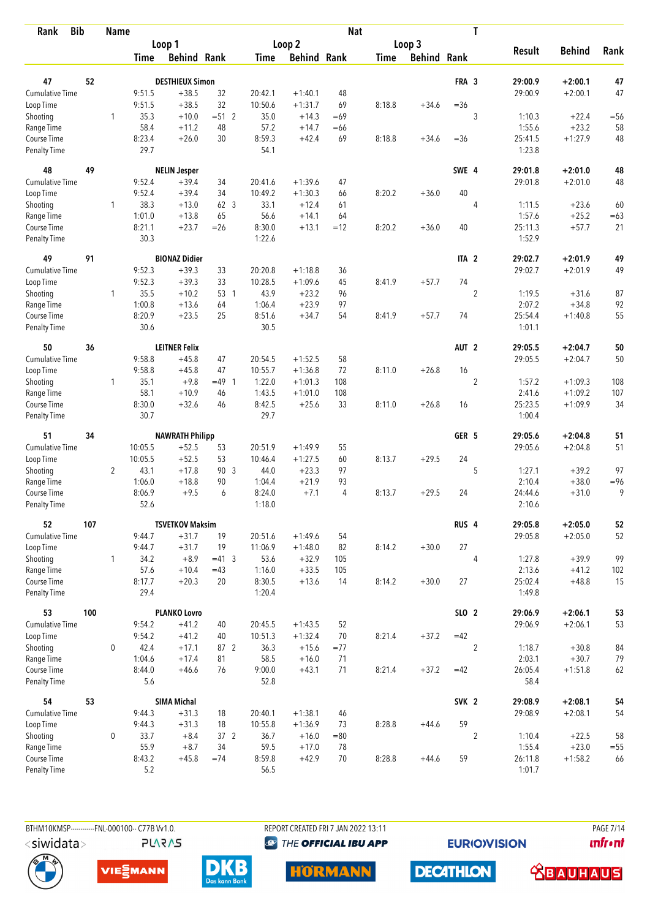| <b>Bib</b><br>Rank          |     | <b>Name</b>    |                |                        |                 |                  |                    | <b>Nat</b> |             |                    |                  | T              |                   |               |        |
|-----------------------------|-----|----------------|----------------|------------------------|-----------------|------------------|--------------------|------------|-------------|--------------------|------------------|----------------|-------------------|---------------|--------|
|                             |     |                |                | Loop 1                 |                 |                  | Loop <sub>2</sub>  |            |             | Loop 3             |                  |                |                   |               |        |
|                             |     |                | <b>Time</b>    | <b>Behind Rank</b>     |                 | <b>Time</b>      | <b>Behind Rank</b> |            | <b>Time</b> | <b>Behind Rank</b> |                  |                | <b>Result</b>     | <b>Behind</b> | Rank   |
| 47                          | 52  |                |                | <b>DESTHIEUX Simon</b> |                 |                  |                    |            |             |                    | FRA 3            |                | 29:00.9           | $+2:00.1$     | 47     |
| <b>Cumulative Time</b>      |     |                | 9:51.5         | $+38.5$                | 32              | 20:42.1          | $+1:40.1$          | 48         |             |                    |                  |                | 29:00.9           | $+2:00.1$     | 47     |
| Loop Time                   |     |                | 9:51.5         | $+38.5$                | 32              | 10:50.6          | $+1:31.7$          | 69         | 8:18.8      | $+34.6$            | $=36$            |                |                   |               |        |
| Shooting                    |     | 1              | 35.3           | $+10.0$                | $= 512$         | 35.0             | $+14.3$            | $=69$      |             |                    |                  | 3              | 1:10.3            | $+22.4$       | $=56$  |
| Range Time                  |     |                | 58.4           | $+11.2$                | 48              | 57.2             | $+14.7$            | $=66$      |             |                    |                  |                | 1:55.6            | $+23.2$       | 58     |
| Course Time                 |     |                | 8:23.4         | $+26.0$                | 30              | 8:59.3           | $+42.4$            | 69         | 8:18.8      | $+34.6$            | $= 36$           |                | 25:41.5           | $+1:27.9$     | 48     |
| <b>Penalty Time</b>         |     |                | 29.7           |                        |                 | 54.1             |                    |            |             |                    |                  |                | 1:23.8            |               |        |
| 48                          | 49  |                |                | <b>NELIN Jesper</b>    |                 |                  |                    |            |             |                    | SWE 4            |                | 29:01.8           | $+2:01.0$     | 48     |
| Cumulative Time             |     |                | 9:52.4         | $+39.4$                | 34              | 20:41.6          | $+1:39.6$          | 47         |             |                    |                  |                | 29:01.8           | $+2:01.0$     | 48     |
| Loop Time                   |     |                | 9:52.4         | $+39.4$                | 34              | 10:49.2          | $+1:30.3$          | 66         | 8:20.2      | $+36.0$            | 40               |                |                   |               |        |
| Shooting                    |     | 1              | 38.3           | $+13.0$                | 62 <sup>3</sup> | 33.1             | $+12.4$            | 61         |             |                    |                  | $\overline{4}$ | 1:11.5            | $+23.6$       | 60     |
| Range Time                  |     |                | 1:01.0         | $+13.8$                | 65              | 56.6             | $+14.1$            | 64         |             |                    |                  |                | 1:57.6            | $+25.2$       | $=63$  |
| Course Time                 |     |                | 8:21.1         | $+23.7$                | $=26$           | 8:30.0           | $+13.1$            | $=12$      | 8:20.2      | $+36.0$            | 40               |                | 25:11.3           | $+57.7$       | 21     |
| <b>Penalty Time</b>         |     |                | 30.3           |                        |                 | 1:22.6           |                    |            |             |                    |                  |                | 1:52.9            |               |        |
| 49                          | 91  |                |                | <b>BIONAZ Didier</b>   |                 |                  |                    |            |             |                    | ITA <sub>2</sub> |                | 29:02.7           | $+2:01.9$     | 49     |
| Cumulative Time             |     |                | 9:52.3         | $+39.3$                | 33              | 20:20.8          | $+1:18.8$          | 36         |             |                    |                  |                | 29:02.7           | $+2:01.9$     | 49     |
| Loop Time                   |     |                | 9:52.3         | $+39.3$                | 33              | 10:28.5          | $+1:09.6$          | 45         | 8:41.9      | $+57.7$            | 74               |                |                   |               |        |
| Shooting                    |     | $\mathbf{1}$   | 35.5           | $+10.2$                | 53 1            | 43.9             | $+23.2$            | 96         |             |                    |                  | $\overline{2}$ | 1:19.5            | $+31.6$       | 87     |
| Range Time                  |     |                | 1:00.8         | $+13.6$                | 64              | 1:06.4           | $+23.9$            | 97         |             |                    |                  |                | 2:07.2            | $+34.8$       | 92     |
| Course Time                 |     |                | 8:20.9         | $+23.5$                | 25              | 8:51.6           | $+34.7$            | 54         | 8:41.9      | $+57.7$            | 74               |                | 25:54.4           | $+1:40.8$     | 55     |
| <b>Penalty Time</b>         |     |                | 30.6           |                        |                 | 30.5             |                    |            |             |                    |                  |                | 1:01.1            |               |        |
| 50                          | 36  |                |                | <b>LEITNER Felix</b>   |                 |                  |                    |            |             |                    | AUT <sub>2</sub> |                | 29:05.5           | $+2:04.7$     | 50     |
| Cumulative Time             |     |                | 9:58.8         | $+45.8$                | 47              | 20:54.5          | $+1:52.5$          | 58         |             |                    |                  |                | 29:05.5           | $+2:04.7$     | 50     |
| Loop Time                   |     |                | 9:58.8         | $+45.8$                | 47              | 10:55.7          | $+1:36.8$          | 72         | 8:11.0      | $+26.8$            | 16               |                |                   |               |        |
| Shooting                    |     | $\mathbf{1}$   | 35.1           | $+9.8$                 | $=49$ 1         | 1:22.0           | $+1:01.3$          | 108        |             |                    |                  | $\overline{2}$ | 1:57.2            | $+1:09.3$     | 108    |
| Range Time                  |     |                | 58.1           | $+10.9$                | 46              | 1:43.5           | $+1:01.0$          | 108        |             |                    |                  |                | 2:41.6            | $+1:09.2$     | 107    |
| Course Time                 |     |                | 8:30.0         | $+32.6$                | 46              | 8:42.5           | $+25.6$            | 33         | 8:11.0      | $+26.8$            | 16               |                | 25:23.5           | $+1:09.9$     | 34     |
| <b>Penalty Time</b>         |     |                | 30.7           |                        |                 | 29.7             |                    |            |             |                    |                  |                | 1:00.4            |               |        |
| 51                          | 34  |                |                | <b>NAWRATH Philipp</b> |                 |                  |                    |            |             |                    | GER 5            |                | 29:05.6           | $+2:04.8$     | 51     |
| Cumulative Time             |     |                | 10:05.5        | $+52.5$                | 53              | 20:51.9          | $+1:49.9$          | 55         |             |                    |                  |                | 29:05.6           | $+2:04.8$     | 51     |
| Loop Time                   |     |                | 10:05.5        | $+52.5$                | 53              | 10:46.4          | $+1:27.5$          | 60         | 8:13.7      | $+29.5$            | 24               |                |                   |               |        |
| Shooting                    |     | $\overline{2}$ | 43.1           | $+17.8$                | 90 3            | 44.0             | $+23.3$            | 97         |             |                    |                  | 5              | 1:27.1            | $+39.2$       | 97     |
| Range Time                  |     |                | 1:06.0         | $+18.8$                | 90              | 1:04.4           | $+21.9$            | 93         |             |                    |                  |                | 2:10.4            | $+38.0$       | $= 96$ |
| Course Time                 |     |                | 8:06.9         | $+9.5$                 | 6               | 8:24.0           | $+7.1$             | 4          | 8:13.7      | $+29.5$            | 24               |                | 24:44.6           | $+31.0$       | 9      |
| <b>Penalty Time</b>         |     |                | 52.6           |                        |                 | 1:18.0           |                    |            |             |                    |                  |                | 2:10.6            |               |        |
| 52                          | 107 |                |                | <b>TSVETKOV Maksim</b> |                 |                  |                    |            |             |                    | RUS <sub>4</sub> |                | 29:05.8           | $+2:05.0$     | 52     |
| Cumulative Time             |     |                | 9:44.7         | $+31.7$                | 19              | 20:51.6          | $+1:49.6$          | 54         |             |                    |                  |                | 29:05.8           | $+2:05.0$     | 52     |
| Loop Time                   |     |                | 9:44.7         | $+31.7$                | 19              | 11:06.9          | $+1:48.0$          | 82         | 8:14.2      | $+30.0$            | $27\,$           |                |                   |               |        |
| Shooting                    |     | 1              | 34.2           | $+8.9$                 | $=41.3$         | 53.6             | $+32.9$            | 105        |             |                    |                  | $\overline{4}$ | 1:27.8            | $+39.9$       | 99     |
| Range Time                  |     |                | 57.6           | $+10.4$                | $=43$           | 1:16.0           | $+33.5$            | 105        |             |                    |                  |                | 2:13.6            | $+41.2$       | 102    |
| Course Time<br>Penalty Time |     |                | 8:17.7<br>29.4 | $+20.3$                | 20              | 8:30.5<br>1:20.4 | $+13.6$            | 14         | 8:14.2      | $+30.0$            | 27               |                | 25:02.4<br>1:49.8 | $+48.8$       | 15     |
| 53                          | 100 |                |                | <b>PLANKO Lovro</b>    |                 |                  |                    |            |             |                    | SLO 2            |                | 29:06.9           | $+2:06.1$     | 53     |
| <b>Cumulative Time</b>      |     |                | 9:54.2         | $+41.2$                | 40              | 20:45.5          | $+1:43.5$          | 52         |             |                    |                  |                | 29:06.9           | $+2:06.1$     | 53     |
| Loop Time                   |     |                | 9:54.2         | $+41.2$                | 40              | 10:51.3          | $+1:32.4$          | 70         | 8:21.4      | $+37.2$            | $=42$            |                |                   |               |        |
| Shooting                    |     | 0              | 42.4           | $+17.1$                | 87 2            | 36.3             | $+15.6$            | $= 77$     |             |                    |                  | $\overline{2}$ | 1:18.7            | $+30.8$       | 84     |
| Range Time                  |     |                | 1:04.6         | $+17.4$                | 81              | 58.5             | $+16.0$            | 71         |             |                    |                  |                | 2:03.1            | $+30.7$       | 79     |
| Course Time                 |     |                | 8:44.0         | $+46.6$                | 76              | 9:00.0           | $+43.1$            | 71         | 8:21.4      | $+37.2$            | $=42$            |                | 26:05.4           | $+1:51.8$     | 62     |
| Penalty Time                |     |                | 5.6            |                        |                 | 52.8             |                    |            |             |                    |                  |                | 58.4              |               |        |
| 54                          | 53  |                |                | <b>SIMA Michal</b>     |                 |                  |                    |            |             |                    | SVK <sub>2</sub> |                | 29:08.9           | $+2:08.1$     | 54     |
| <b>Cumulative Time</b>      |     |                | 9:44.3         | $+31.3$                | 18              | 20:40.1          | $+1:38.1$          | 46         |             |                    |                  |                | 29:08.9           | $+2:08.1$     | 54     |
| Loop Time                   |     |                | 9:44.3         | $+31.3$                | 18              | 10:55.8          | $+1:36.9$          | 73         | 8:28.8      | $+44.6$            | 59               |                |                   |               |        |
| Shooting                    |     | 0              | 33.7           | $+8.4$                 | $37 \quad 2$    | 36.7             | $+16.0$            | $= 80$     |             |                    |                  | $\overline{2}$ | 1:10.4            | $+22.5$       | 58     |
| Range Time                  |     |                | 55.9           | $+8.7$                 | 34              | 59.5             | $+17.0$            | 78         |             |                    |                  |                | 1:55.4            | $+23.0$       | $=55$  |
| Course Time                 |     |                | 8:43.2         | $+45.8$                | $=74$           | 8:59.8           | $+42.9$            | 70         | 8:28.8      | $+44.6$            | 59               |                | 26:11.8           | $+1:58.2$     | 66     |
| <b>Penalty Time</b>         |     |                | 5.2            |                        |                 | 56.5             |                    |            |             |                    |                  |                | 1:01.7            |               |        |



BTHM10KMSP-----------FNL-000100-- C77B Vv1.0. REPORT CREATED FRI 7 JAN 2022 13:11 PAGE 7/14

**@** THE OFFICIAL IBU APP

**HORMANN** 

**EURIOVISION** 

*<u><u>Infront</u>*</u>





**PLARAS** 



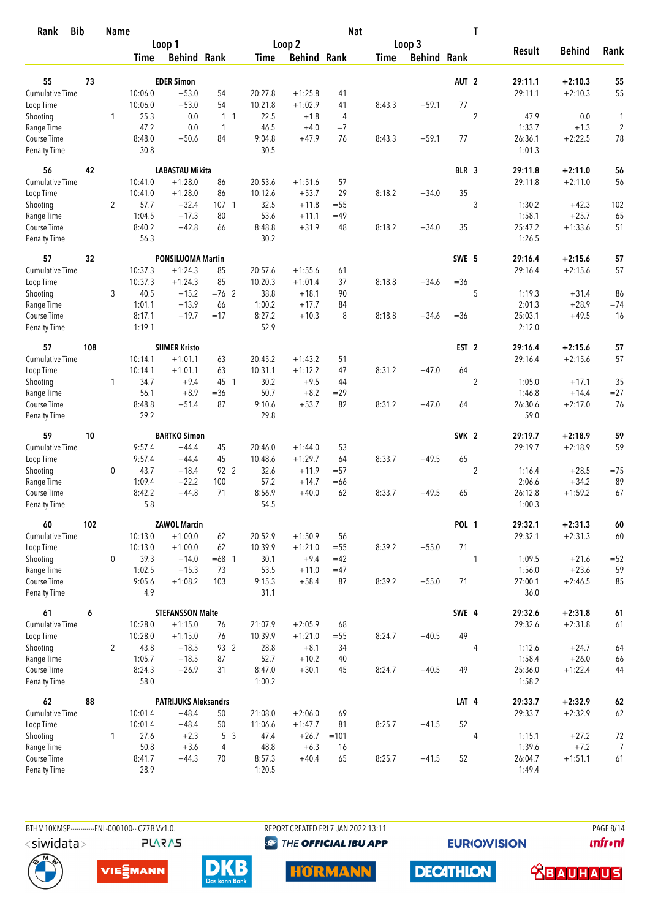| Rank                        | <b>Bib</b> | <b>Name</b>    |                  |                             |                  |                |                    | <b>Nat</b> |        |                    |                  | T              |                   |               |            |
|-----------------------------|------------|----------------|------------------|-----------------------------|------------------|----------------|--------------------|------------|--------|--------------------|------------------|----------------|-------------------|---------------|------------|
|                             |            |                |                  | Loop 1                      |                  |                | Loop 2             |            |        | Loop 3             |                  |                |                   |               |            |
|                             |            |                | Time             | <b>Behind Rank</b>          |                  | Time           | <b>Behind Rank</b> |            | Time   | <b>Behind Rank</b> |                  |                | <b>Result</b>     | <b>Behind</b> | Rank       |
| 55                          | 73         |                |                  | <b>EDER Simon</b>           |                  |                |                    |            |        |                    | AUT <sub>2</sub> |                | 29:11.1           | $+2:10.3$     | 55         |
| Cumulative Time             |            |                | 10:06.0          | $+53.0$                     | 54               | 20:27.8        | $+1:25.8$          | 41         |        |                    |                  |                | 29:11.1           | $+2:10.3$     | 55         |
| Loop Time                   |            |                | 10:06.0          | $+53.0$                     | 54               | 10:21.8        | $+1:02.9$          | 41         | 8:43.3 | $+59.1$            | 77               |                |                   |               |            |
| Shooting                    |            | 1              | 25.3             | 0.0                         | 1 <sub>1</sub>   | 22.5           | $+1.8$             | 4          |        |                    |                  | $\overline{2}$ | 47.9              | 0.0           | 1          |
| Range Time                  |            |                | 47.2             | 0.0                         | $\mathbf{1}$     | 46.5           | $+4.0$             | $=7$       |        |                    |                  |                | 1:33.7            | $+1.3$        | $\sqrt{2}$ |
| Course Time                 |            |                | 8:48.0           | $+50.6$                     | 84               | 9:04.8         | $+47.9$            | 76         | 8:43.3 | $+59.1$            | 77               |                | 26:36.1           | $+2:22.5$     | 78         |
| <b>Penalty Time</b>         |            |                | 30.8             |                             |                  | 30.5           |                    |            |        |                    |                  |                | 1:01.3            |               |            |
| 56                          | 42         |                |                  | <b>LABASTAU Mikita</b>      |                  |                |                    |            |        |                    | BLR <sub>3</sub> |                | 29:11.8           | $+2:11.0$     | 56         |
| <b>Cumulative Time</b>      |            |                | 10:41.0          | $+1:28.0$                   | 86               | 20:53.6        | $+1:51.6$          | 57         |        |                    |                  |                | 29:11.8           | $+2:11.0$     | 56         |
| Loop Time                   |            |                | 10:41.0          | $+1:28.0$                   | 86               | 10:12.6        | $+53.7$            | 29         | 8:18.2 | $+34.0$            | 35               |                |                   |               |            |
| Shooting                    |            | 2              | 57.7             | $+32.4$                     | 107 <sub>1</sub> | 32.5           | $+11.8$            | $= 55$     |        |                    |                  | 3              | 1:30.2            | $+42.3$       | 102        |
| Range Time                  |            |                | 1:04.5           | $+17.3$                     | 80               | 53.6           | $+11.1$            | $=49$      |        |                    |                  |                | 1:58.1            | $+25.7$       | 65         |
| Course Time                 |            |                | 8:40.2           | $+42.8$                     | 66               | 8:48.8         | $+31.9$            | 48         | 8:18.2 | $+34.0$            | 35               |                | 25:47.2           | $+1:33.6$     | 51         |
| <b>Penalty Time</b>         |            |                | 56.3             |                             |                  | 30.2           |                    |            |        |                    |                  |                | 1:26.5            |               |            |
| 57                          | 32         |                |                  | <b>PONSILUOMA Martin</b>    |                  |                |                    |            |        |                    | SWE 5            |                | 29:16.4           | $+2:15.6$     | 57         |
| <b>Cumulative Time</b>      |            |                | 10:37.3          | $+1:24.3$                   | 85               | 20:57.6        | $+1:55.6$          | 61         |        |                    |                  |                | 29:16.4           | $+2:15.6$     | 57         |
| Loop Time                   |            |                | 10:37.3          | $+1:24.3$                   | 85               | 10:20.3        | $+1:01.4$          | 37         | 8:18.8 | $+34.6$            | $= 36$           |                |                   |               |            |
| Shooting                    |            | 3              | 40.5             | $+15.2$                     | $=76$ 2          | 38.8           | $+18.1$            | 90         |        |                    |                  | 5              | 1:19.3            | $+31.4$       | 86         |
| Range Time                  |            |                | 1:01.1           | $+13.9$                     | 66               | 1:00.2         | $+17.7$            | 84         |        |                    |                  |                | 2:01.3            | $+28.9$       | $=74$      |
| Course Time<br>Penalty Time |            |                | 8:17.1<br>1:19.1 | $+19.7$                     | $=17$            | 8:27.2<br>52.9 | $+10.3$            | 8          | 8:18.8 | $+34.6$            | $= 36$           |                | 25:03.1<br>2:12.0 | $+49.5$       | 16         |
| 57                          | 108        |                |                  | <b>SIIMER Kristo</b>        |                  |                |                    |            |        |                    | EST <sub>2</sub> |                | 29:16.4           | $+2:15.6$     | 57         |
| Cumulative Time             |            |                | 10:14.1          | $+1:01.1$                   | 63               | 20:45.2        | $+1:43.2$          | 51         |        |                    |                  |                | 29:16.4           | $+2:15.6$     | 57         |
|                             |            |                | 10:14.1          | $+1:01.1$                   | 63               | 10:31.1        | $+1:12.2$          | 47         | 8:31.2 | $+47.0$            | 64               |                |                   |               |            |
| Loop Time                   |            | 1              | 34.7             | $+9.4$                      | 45 1             | 30.2           | $+9.5$             | 44         |        |                    |                  | $\overline{2}$ | 1:05.0            | $+17.1$       | 35         |
| Shooting<br>Range Time      |            |                | 56.1             | $+8.9$                      | $= 36$           | 50.7           | $+8.2$             | $=29$      |        |                    |                  |                | 1:46.8            | $+14.4$       | $= 27$     |
| Course Time                 |            |                | 8:48.8           | $+51.4$                     | 87               | 9:10.6         | $+53.7$            | 82         | 8:31.2 | $+47.0$            | 64               |                | 26:30.6           | $+2:17.0$     | 76         |
| <b>Penalty Time</b>         |            |                | 29.2             |                             |                  | 29.8           |                    |            |        |                    |                  |                | 59.0              |               |            |
| 59                          | 10         |                |                  | <b>BARTKO Simon</b>         |                  |                |                    |            |        |                    | SVK <sub>2</sub> |                | 29:19.7           | $+2:18.9$     | 59         |
| Cumulative Time             |            |                | 9:57.4           | $+44.4$                     | 45               | 20:46.0        | $+1:44.0$          | 53         |        |                    |                  |                | 29:19.7           | $+2:18.9$     | 59         |
| Loop Time                   |            |                | 9:57.4           | $+44.4$                     | 45               | 10:48.6        | $+1:29.7$          | 64         | 8:33.7 | $+49.5$            | 65               |                |                   |               |            |
| Shooting                    |            | 0              | 43.7             | $+18.4$                     | 92 2             | 32.6           | $+11.9$            | $= 57$     |        |                    |                  | $\overline{2}$ | 1:16.4            | $+28.5$       | $=75$      |
| Range Time                  |            |                | 1:09.4           | $+22.2$                     | 100              | 57.2           | $+14.7$            | $=66$      |        |                    |                  |                | 2:06.6            | $+34.2$       | 89         |
| Course Time                 |            |                | 8:42.2           | $+44.8$                     | 71               | 8:56.9         | $+40.0$            | 62         | 8:33.7 | $+49.5$            | 65               |                | 26:12.8           | $+1:59.2$     | 67         |
| Penalty Time                |            |                | 5.8              |                             |                  | 54.5           |                    |            |        |                    |                  |                | 1:00.3            |               |            |
| 60                          | 102        |                |                  | <b>ZAWOL Marcin</b>         |                  |                |                    |            |        |                    | POL 1            |                | 29:32.1           | $+2:31.3$     | $\pmb{60}$ |
| Cumulative Time             |            |                | 10:13.0          | $+1:00.0$                   | 62               | 20:52.9        | $+1:50.9$          | 56         |        |                    |                  |                | 29:32.1           | $+2:31.3$     | 60         |
| Loop Time                   |            |                | 10:13.0          | $+1:00.0$                   | 62               | 10:39.9        | $+1:21.0$          | $=55$      | 8:39.2 | $+55.0$            | 71               |                |                   |               |            |
| Shooting                    |            | 0              | 39.3             | $+14.0$                     | $=68$ 1          | 30.1           | $+9.4$             | $=42$      |        |                    |                  | $\mathbf{1}$   | 1:09.5            | $+21.6$       | $=52$      |
| Range Time                  |            |                | 1:02.5           | $+15.3$                     | 73               | 53.5           | $+11.0$            | $=47$      |        |                    |                  |                | 1:56.0            | $+23.6$       | 59         |
| Course Time<br>Penalty Time |            |                | 9:05.6<br>4.9    | $+1:08.2$                   | 103              | 9:15.3<br>31.1 | $+58.4$            | 87         | 8:39.2 | $+55.0$            | 71               |                | 27:00.1<br>36.0   | $+2:46.5$     | 85         |
| 61                          | 6          |                |                  | <b>STEFANSSON Malte</b>     |                  |                |                    |            |        |                    | SWE 4            |                | 29:32.6           | $+2:31.8$     | $61\,$     |
| <b>Cumulative Time</b>      |            |                | 10:28.0          | $+1:15.0$                   | 76               | 21:07.9        | $+2:05.9$          | 68         |        |                    |                  |                | 29:32.6           | $+2:31.8$     | 61         |
| Loop Time                   |            |                | 10:28.0          | $+1:15.0$                   | 76               | 10:39.9        | $+1:21.0$          | $=55$      | 8:24.7 | $+40.5$            | 49               |                |                   |               |            |
| Shooting                    |            | $\overline{2}$ | 43.8             | $+18.5$                     | 93 2             | 28.8           | $+8.1$             | 34         |        |                    |                  | 4              | 1:12.6            | $+24.7$       | 64         |
| Range Time                  |            |                | 1:05.7           | $+18.5$                     | 87               | 52.7           | $+10.2$            | 40         |        |                    |                  |                | 1:58.4            | $+26.0$       | 66         |
| Course Time                 |            |                | 8:24.3           | $+26.9$                     | 31               | 8:47.0         | $+30.1$            | 45         | 8:24.7 | $+40.5$            | 49               |                | 25:36.0           | $+1:22.4$     | 44         |
| Penalty Time                |            |                | 58.0             |                             |                  | 1:00.2         |                    |            |        |                    |                  |                | 1:58.2            |               |            |
| 62                          | 88         |                |                  | <b>PATRIJUKS Aleksandrs</b> |                  |                |                    |            |        |                    | LAT 4            |                | 29:33.7           | $+2:32.9$     | $62\,$     |
| Cumulative Time             |            |                | 10:01.4          | $+48.4$                     | 50               | 21:08.0        | $+2:06.0$          | 69         |        |                    |                  |                | 29:33.7           | $+2:32.9$     | 62         |
| Loop Time                   |            |                | 10:01.4          | $+48.4$                     | 50               | 11:06.6        | $+1:47.7$          | 81         | 8:25.7 | $+41.5$            | 52               |                |                   |               |            |
| Shooting                    |            | $\mathbf{1}$   | 27.6             | $+2.3$                      | 5 <sup>3</sup>   | 47.4           | $+26.7$            | $=101$     |        |                    |                  | $\overline{4}$ | 1:15.1            | $+27.2$       | 72         |
| Range Time                  |            |                | 50.8             | $+3.6$                      | 4                | 48.8           | $+6.3$             | 16         |        |                    |                  |                | 1:39.6            | $+7.2$        | 7          |
| Course Time                 |            |                | 8:41.7           | $+44.3$                     | 70               | 8:57.3         | $+40.4$            | 65         | 8:25.7 | $+41.5$            | 52               |                | 26:04.7           | $+1:51.1$     | 61         |
| <b>Penalty Time</b>         |            |                | 28.9             |                             |                  | 1:20.5         |                    |            |        |                    |                  |                | 1:49.4            |               |            |

**PLARAS** 

BTHM10KMSP-----------FNL-000100-- C77B Vv1.0. REPORT CREATED FRI 7 JAN 2022 13:11 PAGE 8/14 **@** THE OFFICIAL IBU APP

**EURIOVISION** 

*<u><u>Infront</u>*</u>







**DECATHLON HORMANN** 

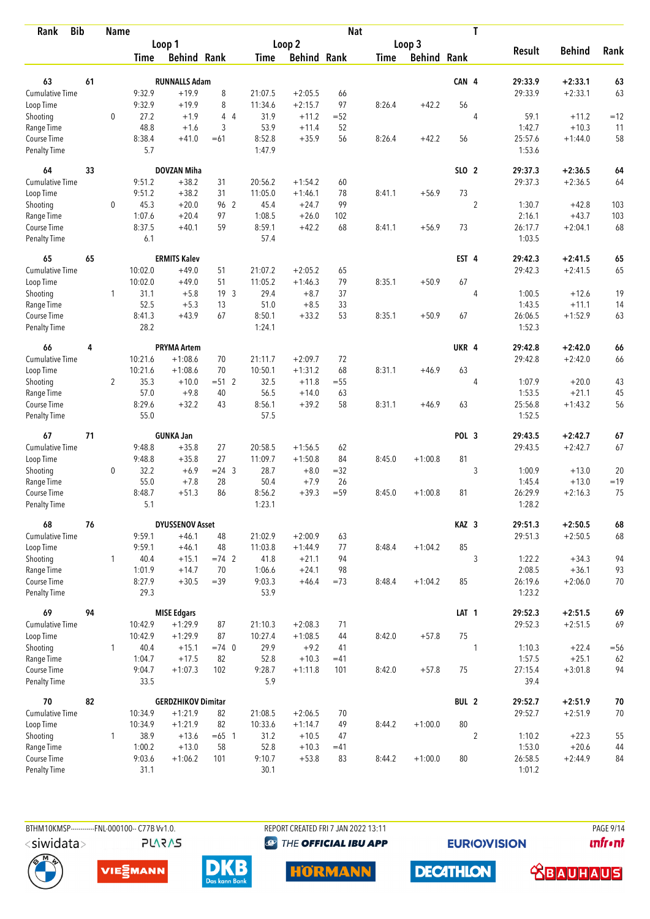| <b>Bib</b><br>Rank                 |    | <b>Name</b>    |                |                           |                 |                  |                    | <b>Nat</b> |             |                    |                  | T              |                   |               |        |
|------------------------------------|----|----------------|----------------|---------------------------|-----------------|------------------|--------------------|------------|-------------|--------------------|------------------|----------------|-------------------|---------------|--------|
|                                    |    |                |                | Loop 1                    |                 |                  | Loop 2             |            |             | Loop 3             |                  |                |                   |               |        |
|                                    |    |                | Time           | <b>Behind Rank</b>        |                 | Time             | <b>Behind Rank</b> |            | <b>Time</b> | <b>Behind Rank</b> |                  |                | <b>Result</b>     | <b>Behind</b> | Rank   |
| 63                                 | 61 |                |                | <b>RUNNALLS Adam</b>      |                 |                  |                    |            |             |                    | CAN 4            |                | 29:33.9           | $+2:33.1$     | 63     |
| <b>Cumulative Time</b>             |    |                | 9:32.9         | $+19.9$                   | 8               | 21:07.5          | $+2:05.5$          | 66         |             |                    |                  |                | 29:33.9           | $+2:33.1$     | 63     |
| Loop Time                          |    |                | 9:32.9         | $+19.9$                   | 8               | 11:34.6          | $+2:15.7$          | 97         | 8:26.4      | $+42.2$            | 56               |                |                   |               |        |
| Shooting                           |    | $\mathbf 0$    | 27.2           | $+1.9$                    | 44              | 31.9             | $+11.2$            | $= 52$     |             |                    |                  | $\overline{4}$ | 59.1              | $+11.2$       | $=12$  |
| Range Time                         |    |                | 48.8           | $+1.6$                    | 3               | 53.9             | $+11.4$            | 52         |             |                    |                  |                | 1:42.7            | $+10.3$       | 11     |
| Course Time                        |    |                | 8:38.4         | $+41.0$                   | $=61$           | 8:52.8           | $+35.9$            | 56         | 8:26.4      | $+42.2$            | 56               |                | 25:57.6           | $+1:44.0$     | 58     |
| <b>Penalty Time</b>                |    |                | 5.7            |                           |                 | 1:47.9           |                    |            |             |                    |                  |                | 1:53.6            |               |        |
| 64                                 | 33 |                |                | <b>DOVZAN Miha</b>        |                 |                  |                    |            |             |                    | SLO 2            |                | 29:37.3           | $+2:36.5$     | 64     |
| Cumulative Time                    |    |                | 9:51.2         | $+38.2$                   | 31              | 20:56.2          | $+1:54.2$          | 60         |             |                    |                  |                | 29:37.3           | $+2:36.5$     | 64     |
| Loop Time                          |    |                | 9:51.2         | $+38.2$                   | 31              | 11:05.0          | $+1:46.1$          | 78         | 8:41.1      | $+56.9$            | 73               |                |                   |               |        |
| Shooting                           |    | 0              | 45.3           | $+20.0$                   | 96 2            | 45.4             | $+24.7$            | 99         |             |                    |                  | $\overline{2}$ | 1:30.7            | $+42.8$       | 103    |
| Range Time                         |    |                | 1:07.6         | $+20.4$                   | 97              | 1:08.5           | $+26.0$            | 102        |             |                    |                  |                | 2:16.1            | $+43.7$       | 103    |
| Course Time                        |    |                | 8:37.5         | $+40.1$                   | 59              | 8:59.1           | $+42.2$            | 68         | 8:41.1      | $+56.9$            | 73               |                | 26:17.7           | $+2:04.1$     | 68     |
| Penalty Time                       |    |                | 6.1            |                           |                 | 57.4             |                    |            |             |                    |                  |                | 1:03.5            |               |        |
| 65                                 | 65 |                |                | <b>ERMITS Kalev</b>       |                 |                  |                    |            |             |                    | EST 4            |                | 29:42.3           | $+2:41.5$     | 65     |
| <b>Cumulative Time</b>             |    |                | 10:02.0        | $+49.0$                   | 51              | 21:07.2          | $+2:05.2$          | 65         |             |                    |                  |                | 29:42.3           | $+2:41.5$     | 65     |
| Loop Time                          |    |                | 10:02.0        | $+49.0$                   | 51              | 11:05.2          | $+1:46.3$          | 79         | 8:35.1      | $+50.9$            | 67               |                |                   |               |        |
| Shooting                           |    | $\mathbf{1}$   | 31.1           | $+5.8$                    | 19 <sup>3</sup> | 29.4             | $+8.7$             | 37         |             |                    |                  | $\overline{4}$ | 1:00.5            | $+12.6$       | 19     |
| Range Time                         |    |                | 52.5           | $+5.3$                    | 13              | 51.0             | $+8.5$             | 33         |             |                    |                  |                | 1:43.5            | $+11.1$       | 14     |
| Course Time                        |    |                | 8:41.3         | $+43.9$                   | 67              | 8:50.1           | $+33.2$            | 53         | 8:35.1      | $+50.9$            | 67               |                | 26:06.5           | $+1:52.9$     | 63     |
| <b>Penalty Time</b>                |    |                | 28.2           |                           |                 | 1:24.1           |                    |            |             |                    |                  |                | 1:52.3            |               |        |
| 66                                 | 4  |                |                | <b>PRYMA Artem</b>        |                 |                  |                    |            |             |                    | UKR <sub>4</sub> |                | 29:42.8           | $+2:42.0$     | 66     |
| Cumulative Time                    |    |                | 10:21.6        | $+1:08.6$                 | 70              | 21:11.7          | $+2:09.7$          | 72         |             |                    |                  |                | 29:42.8           | $+2:42.0$     | 66     |
| Loop Time                          |    |                | 10:21.6        | $+1:08.6$                 | 70              | 10:50.1          | $+1:31.2$          | 68         | 8:31.1      | $+46.9$            | 63               |                |                   |               |        |
| Shooting                           |    | $\overline{2}$ | 35.3           | $+10.0$                   | $= 51$ 2        | 32.5             | $+11.8$            | $= 55$     |             |                    |                  | 4              | 1:07.9            | $+20.0$       | 43     |
| Range Time                         |    |                | 57.0           | $+9.8$                    | 40              | 56.5             | $+14.0$            | 63         |             |                    |                  |                | 1:53.5            | $+21.1$       | 45     |
| Course Time<br><b>Penalty Time</b> |    |                | 8:29.6<br>55.0 | $+32.2$                   | 43              | 8:56.1<br>57.5   | $+39.2$            | 58         | 8:31.1      | $+46.9$            | 63               |                | 25:56.8<br>1:52.5 | $+1:43.2$     | 56     |
|                                    |    |                |                |                           |                 |                  |                    |            |             |                    |                  |                |                   |               |        |
| 67                                 | 71 |                |                | <b>GUNKA Jan</b>          |                 |                  |                    |            |             |                    | POL 3            |                | 29:43.5           | $+2:42.7$     | $67\,$ |
| <b>Cumulative Time</b>             |    |                | 9:48.8         | $+35.8$                   | 27              | 20:58.5          | $+1:56.5$          | 62         |             |                    |                  |                | 29:43.5           | $+2:42.7$     | 67     |
| Loop Time                          |    |                | 9:48.8         | $+35.8$                   | 27              | 11:09.7          | $+1:50.8$          | 84         | 8:45.0      | $+1:00.8$          | 81               |                |                   |               |        |
| Shooting                           |    | 0              | 32.2           | $+6.9$                    | $= 24$ 3        | 28.7             | $+8.0$             | $=32$      |             |                    |                  | 3              | 1:00.9            | $+13.0$       | 20     |
| Range Time                         |    |                | 55.0           | $+7.8$                    | 28              | 50.4             | $+7.9$             | 26         |             |                    |                  |                | 1:45.4            | $+13.0$       | $=19$  |
| Course Time<br><b>Penalty Time</b> |    |                | 8:48.7<br>5.1  | $+51.3$                   | 86              | 8:56.2<br>1:23.1 | $+39.3$            | $= 59$     | 8:45.0      | $+1:00.8$          | 81               |                | 26:29.9<br>1:28.2 | $+2:16.3$     | 75     |
| 68                                 | 76 |                |                | <b>DYUSSENOV Asset</b>    |                 |                  |                    |            |             |                    | KAZ 3            |                | 29:51.3           | $+2:50.5$     | 68     |
| Cumulative Time                    |    |                | 9:59.1         | $+46.1$                   | 48              | 21:02.9          | $+2:00.9$          | 63         |             |                    |                  |                | 29:51.3           | $+2:50.5$     | 68     |
| Loop Time                          |    |                | 9:59.1         | $+46.1$                   | 48              | 11:03.8          | $+1:44.9$          | 77         | 8:48.4      | $+1:04.2$          | 85               |                |                   |               |        |
| Shooting                           |    | $\mathbf{1}$   | 40.4           | $+15.1$                   | $=74$ 2         | 41.8             | $+21.1$            | 94         |             |                    |                  | 3              | 1:22.2            | $+34.3$       | 94     |
| Range Time                         |    |                | 1:01.9         | $+14.7$                   | 70              | 1:06.6           | $+24.1$            | 98         |             |                    |                  |                | 2:08.5            | $+36.1$       | 93     |
| Course Time                        |    |                | 8:27.9         | $+30.5$                   | $=39$           | 9:03.3           | $+46.4$            | $=73$      | 8:48.4      | $+1:04.2$          | 85               |                | 26:19.6           | $+2:06.0$     | 70     |
| Penalty Time                       |    |                | 29.3           |                           |                 | 53.9             |                    |            |             |                    |                  |                | 1:23.2            |               |        |
| 69                                 | 94 |                |                | <b>MISE Edgars</b>        |                 |                  |                    |            |             |                    | LAT <sub>1</sub> |                | 29:52.3           | $+2:51.5$     | 69     |
| <b>Cumulative Time</b>             |    |                | 10:42.9        | $+1:29.9$                 | 87              | 21:10.3          | $+2:08.3$          | 71         |             |                    |                  |                | 29:52.3           | $+2:51.5$     | 69     |
| Loop Time                          |    |                | 10:42.9        | $+1:29.9$                 | 87              | 10:27.4          | $+1:08.5$          | 44         | 8:42.0      | $+57.8$            | 75               |                |                   |               |        |
| Shooting                           |    | $\mathbf{1}$   | 40.4           | $+15.1$                   | $=74$ 0         | 29.9             | $+9.2$             | 41         |             |                    |                  | 1              | 1:10.3            | $+22.4$       | $=56$  |
| Range Time                         |    |                | 1:04.7         | $+17.5$                   | 82              | 52.8             | $+10.3$            | $=41$      |             |                    |                  |                | 1:57.5            | $+25.1$       | 62     |
| Course Time                        |    |                | 9:04.7         | $+1:07.3$                 | 102             | 9:28.7           | $+1:11.8$          | 101        | 8:42.0      | $+57.8$            | 75               |                | 27:15.4           | $+3:01.8$     | 94     |
| Penalty Time                       |    |                | 33.5           |                           |                 | 5.9              |                    |            |             |                    |                  |                | 39.4              |               |        |
| 70                                 | 82 |                |                | <b>GERDZHIKOV Dimitar</b> |                 |                  |                    |            |             |                    | BUL 2            |                | 29:52.7           | $+2:51.9$     | 70     |
| Cumulative Time                    |    |                | 10:34.9        | $+1:21.9$                 | 82              | 21:08.5          | $+2:06.5$          | 70         |             |                    |                  |                | 29:52.7           | $+2:51.9$     | 70     |
| Loop Time                          |    |                | 10:34.9        | $+1:21.9$                 | 82              | 10:33.6          | $+1:14.7$          | 49         | 8:44.2      | $+1:00.0$          | 80               |                |                   |               |        |
| Shooting                           |    | $\mathbf{1}$   | 38.9           | $+13.6$                   | $=65$ 1         | 31.2             | $+10.5$            | 47         |             |                    |                  | $\overline{2}$ | 1:10.2            | $+22.3$       | 55     |
| Range Time                         |    |                | 1:00.2         | $+13.0$                   | 58              | 52.8             | $+10.3$            | $=41$      |             |                    |                  |                | 1:53.0            | $+20.6$       | 44     |
| Course Time                        |    |                | 9:03.6         | $+1:06.2$                 | 101             | 9:10.7           | $+53.8$            | 83         | 8:44.2      | $+1:00.0$          | 80               |                | 26:58.5           | $+2:44.9$     | 84     |
| <b>Penalty Time</b>                |    |                | 31.1           |                           |                 | 30.1             |                    |            |             |                    |                  |                | 1:01.2            |               |        |

BTHM10KMSP-----------FNL-000100-- C77B Vv1.0. REPORT CREATED FRI 7 JAN 2022 13:11 PAGE 9/14 **@** THE OFFICIAL IBU APP

**EURIOVISION** 

*<u><u>Infront</u>*</u>





**PLARAS** 





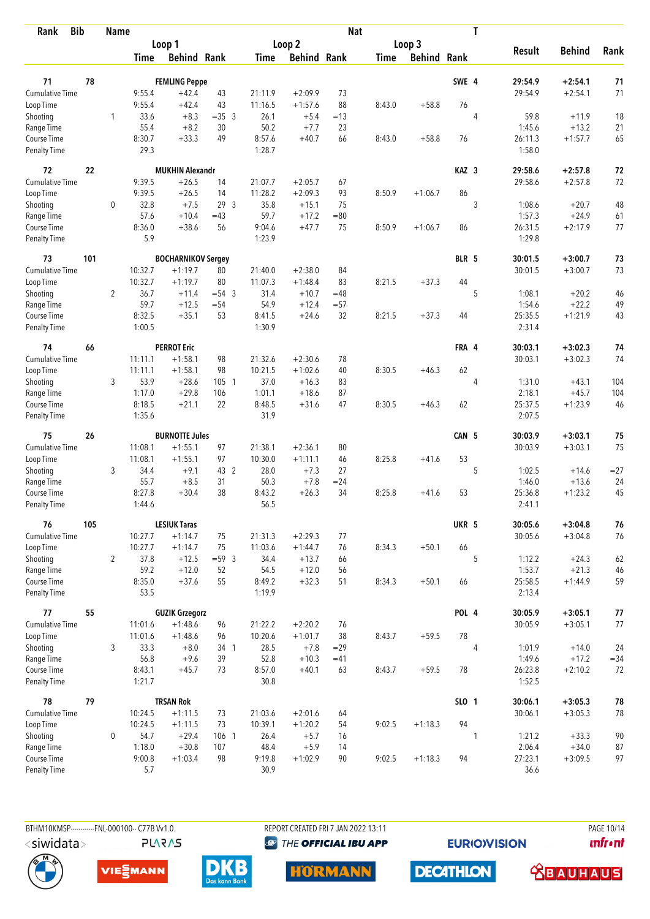| <b>Bib</b><br>Rank                 |     | <b>Name</b>    |                  |                               |                |                  |                    | <b>Nat</b>   |             |                    |                  | T              |                    |                        |          |
|------------------------------------|-----|----------------|------------------|-------------------------------|----------------|------------------|--------------------|--------------|-------------|--------------------|------------------|----------------|--------------------|------------------------|----------|
|                                    |     |                |                  | Loop 1                        |                |                  | Loop 2             |              |             | Loop 3             |                  |                |                    |                        |          |
|                                    |     |                | Time             | <b>Behind Rank</b>            |                | Time             | <b>Behind Rank</b> |              | <b>Time</b> | <b>Behind Rank</b> |                  |                | <b>Result</b>      | <b>Behind</b>          | Rank     |
| 71                                 | 78  |                |                  | <b>FEMLING Peppe</b>          |                |                  |                    |              |             |                    | SWE 4            |                | 29:54.9            | $+2:54.1$              | 71       |
| <b>Cumulative Time</b>             |     |                | 9:55.4           | $+42.4$                       | 43             | 21:11.9          | $+2:09.9$          | 73           |             |                    |                  |                | 29:54.9            | $+2:54.1$              | 71       |
| Loop Time                          |     |                | 9:55.4           | $+42.4$                       | 43             | 11:16.5          | $+1:57.6$          | 88           | 8:43.0      | $+58.8$            | 76               |                |                    |                        |          |
| Shooting                           |     | 1              | 33.6             | $+8.3$                        | $=35$ 3        | 26.1             | $+5.4$             | $=13$        |             |                    |                  | $\overline{4}$ | 59.8               | $+11.9$                | 18       |
| Range Time                         |     |                | 55.4             | $+8.2$                        | 30             | 50.2             | $+7.7$             | 23           |             |                    |                  |                | 1:45.6             | $+13.2$                | 21       |
| Course Time                        |     |                | 8:30.7           | $+33.3$                       | 49             | 8:57.6           | $+40.7$            | 66           | 8:43.0      | $+58.8$            | 76               |                | 26:11.3            | $+1:57.7$              | 65       |
| <b>Penalty Time</b>                |     |                | 29.3             |                               |                | 1:28.7           |                    |              |             |                    |                  |                | 1:58.0             |                        |          |
| 72                                 | 22  |                |                  | <b>MUKHIN Alexandr</b>        |                |                  |                    |              |             |                    | KAZ <sub>3</sub> |                | 29:58.6            | $+2:57.8$              | 72       |
| Cumulative Time                    |     |                | 9:39.5           | $+26.5$                       | 14             | 21:07.7          | $+2:05.7$          | 67           |             |                    |                  |                | 29:58.6            | $+2:57.8$              | 72       |
| Loop Time                          |     |                | 9:39.5           | $+26.5$                       | 14             | 11:28.2          | $+2:09.3$          | 93           | 8:50.9      | $+1:06.7$          | 86               |                |                    |                        |          |
| Shooting                           |     | 0              | 32.8             | $+7.5$                        | 293            | 35.8             | $+15.1$            | 75           |             |                    |                  | 3              | 1:08.6             | $+20.7$                | 48       |
| Range Time                         |     |                | 57.6             | $+10.4$                       | $=43$          | 59.7             | $+17.2$            | $= 80$       |             |                    |                  |                | 1:57.3             | $+24.9$                | 61       |
| Course Time                        |     |                | 8:36.0           | $+38.6$                       | 56             | 9:04.6           | $+47.7$            | 75           | 8:50.9      | $+1:06.7$          | 86               |                | 26:31.5            | $+2:17.9$              | 77       |
| Penalty Time                       |     |                | 5.9              |                               |                | 1:23.9           |                    |              |             |                    |                  |                | 1:29.8             |                        |          |
| 73                                 | 101 |                |                  | <b>BOCHARNIKOV Sergey</b>     |                |                  |                    |              |             |                    | BLR 5            |                | 30:01.5            | $+3:00.7$              | 73       |
| <b>Cumulative Time</b>             |     |                | 10:32.7          | $+1:19.7$                     | 80             | 21:40.0          | $+2:38.0$          | 84           |             |                    |                  |                | 30:01.5            | $+3:00.7$              | 73       |
| Loop Time                          |     |                | 10:32.7          | $+1:19.7$                     | 80             | 11:07.3          | $+1:48.4$          | 83           | 8:21.5      | $+37.3$            | 44               |                |                    |                        |          |
| Shooting                           |     | $\overline{2}$ | 36.7             | $+11.4$                       | $= 54$ 3       | 31.4             | $+10.7$            | $=48$        |             |                    |                  | 5              | 1:08.1             | $+20.2$                | 46       |
| Range Time                         |     |                | 59.7             | $+12.5$<br>$+35.1$            | $= 54$<br>53   | 54.9             | $+12.4$            | $= 57$<br>32 |             | $+37.3$            |                  |                | 1:54.6             | $+22.2$<br>$+1:21.9$   | 49       |
| Course Time<br><b>Penalty Time</b> |     |                | 8:32.5<br>1:00.5 |                               |                | 8:41.5<br>1:30.9 | $+24.6$            |              | 8:21.5      |                    | 44               |                | 25:35.5<br>2:31.4  |                        | 43       |
| 74                                 | 66  |                |                  | <b>PERROT Eric</b>            |                |                  |                    |              |             |                    | FRA 4            |                | 30:03.1            | $+3:02.3$              | 74       |
| <b>Cumulative Time</b>             |     |                | 11:11.1          | $+1:58.1$                     | 98             | 21:32.6          | $+2:30.6$          | 78           |             |                    |                  |                | 30:03.1            | $+3:02.3$              | 74       |
| Loop Time                          |     |                | 11:11.1          | $+1:58.1$                     | 98             | 10:21.5          | $+1:02.6$          | 40           | 8:30.5      | $+46.3$            | 62               |                |                    |                        |          |
| Shooting                           |     | 3              | 53.9             | $+28.6$                       | 105 1          | 37.0             | $+16.3$            | 83           |             |                    |                  | 4              | 1:31.0             | $+43.1$                | 104      |
| Range Time                         |     |                | 1:17.0           | $+29.8$                       | 106            | 1:01.1           | $+18.6$            | 87           |             |                    |                  |                | 2:18.1             | $+45.7$                | 104      |
| Course Time                        |     |                | 8:18.5           | $+21.1$                       | 22             | 8:48.5           | $+31.6$            | 47           | 8:30.5      | $+46.3$            | 62               |                | 25:37.5            | $+1:23.9$              | 46       |
| <b>Penalty Time</b>                |     |                | 1:35.6           |                               |                | 31.9             |                    |              |             |                    |                  |                | 2:07.5             |                        |          |
| 75                                 | 26  |                |                  | <b>BURNOTTE Jules</b>         |                |                  |                    |              |             |                    | CAN 5            |                | 30:03.9            | $+3:03.1$              | 75       |
| <b>Cumulative Time</b>             |     |                | 11:08.1          | $+1:55.1$                     | 97             | 21:38.1          | $+2:36.1$          | 80           |             |                    |                  |                | 30:03.9            | $+3:03.1$              | 75       |
| Loop Time                          |     |                | 11:08.1          | $+1:55.1$                     | 97             | 10:30.0          | $+1:11.1$          | 46           | 8:25.8      | $+41.6$            | 53               |                |                    |                        |          |
| Shooting                           |     | 3              | 34.4             | $+9.1$                        | 43 2           | 28.0             | $+7.3$             | 27           |             |                    |                  | 5              | 1:02.5             | $+14.6$                | $= 27$   |
| Range Time                         |     |                | 55.7             | $+8.5$                        | 31             | 50.3             | $+7.8$             | $= 24$       |             |                    |                  |                | 1:46.0             | $+13.6$                | 24       |
| Course Time                        |     |                | 8:27.8           | $+30.4$                       | 38             | 8:43.2           | $+26.3$            | 34           | 8:25.8      | $+41.6$            | 53               |                | 25:36.8            | $+1:23.2$              | 45       |
| Penalty Time                       |     |                | 1:44.6           |                               |                | 56.5             |                    |              |             |                    |                  |                | 2:41.1             |                        |          |
| 76                                 | 105 |                |                  | <b>LESIUK Taras</b>           |                |                  |                    |              |             |                    | UKR 5            |                | 30:05.6            | $+3:04.8$              | 76       |
| Cumulative Time                    |     |                | 10:27.7          | $+1:14.7$                     | 75             | 21:31.3          | $+2:29.3$          | 77           |             |                    |                  |                | 30:05.6            | $+3:04.8$              | 76       |
| Loop Time                          |     | $\overline{2}$ | 10:27.7<br>37.8  | $+1:14.7$<br>$+12.5$          | 75             | 11:03.6          | $+1:44.7$          | 76           | 8:34.3      | $+50.1$            | 66               | 5              |                    |                        |          |
| Shooting<br>Range Time             |     |                | 59.2             | $+12.0$                       | $= 59.3$<br>52 | 34.4<br>54.5     | $+13.7$<br>$+12.0$ | 66<br>56     |             |                    |                  |                | 1:12.2<br>1:53.7   | $+24.3$<br>$+21.3$     | 62<br>46 |
| Course Time                        |     |                | 8:35.0           | $+37.6$                       | 55             | 8:49.2           | $+32.3$            | 51           | 8:34.3      | $+50.1$            | 66               |                | 25:58.5            | $+1:44.9$              | 59       |
| Penalty Time                       |     |                | 53.5             |                               |                | 1:19.9           |                    |              |             |                    |                  |                | 2:13.4             |                        |          |
| 77                                 | 55  |                |                  | <b>GUZIK Grzegorz</b>         |                |                  |                    |              |             |                    | POL 4            |                | 30:05.9            | $+3:05.1$              | $77$     |
| <b>Cumulative Time</b>             |     |                | 11:01.6          | $+1:48.6$                     | 96             | 21:22.2          | $+2:20.2$          | 76           |             |                    |                  |                | 30:05.9            | $+3:05.1$              | 77       |
| Loop Time                          |     |                | 11:01.6          | $+1:48.6$                     | 96             | 10:20.6          | $+1:01.7$          | 38           | 8:43.7      | $+59.5$            | 78               |                |                    |                        |          |
| Shooting                           |     | 3              | 33.3             | $+8.0$                        | 34 1           | 28.5             | $+7.8$             | $=29$        |             |                    |                  | 4              | 1:01.9             | $+14.0$                | 24       |
| Range Time                         |     |                | 56.8             | $+9.6$                        | 39             | 52.8             | $+10.3$            | $=41$        |             |                    |                  |                | 1:49.6             | $+17.2$                | $= 34$   |
| Course Time<br>Penalty Time        |     |                | 8:43.1<br>1:21.7 | $+45.7$                       | 73             | 8:57.0<br>30.8   | $+40.1$            | 63           | 8:43.7      | $+59.5$            | 78               |                | 26:23.8<br>1:52.5  | $+2:10.2$              | 72       |
| 78                                 | 79  |                |                  |                               |                |                  |                    |              |             |                    |                  |                |                    |                        |          |
| Cumulative Time                    |     |                | 10:24.5          | <b>TRSAN Rok</b><br>$+1:11.5$ | 73             | 21:03.6          | $+2:01.6$          | 64           |             |                    | SLO 1            |                | 30:06.1<br>30:06.1 | $+3:05.3$<br>$+3:05.3$ | 78<br>78 |
| Loop Time                          |     |                | 10:24.5          | $+1:11.5$                     | 73             | 10:39.1          | $+1:20.2$          | 54           | 9:02.5      | $+1:18.3$          | 94               |                |                    |                        |          |
| Shooting                           |     | 0              | 54.7             | $+29.4$                       | 106 1          | 26.4             | $+5.7$             | 16           |             |                    |                  | 1              | 1:21.2             | $+33.3$                | 90       |
| Range Time                         |     |                | 1:18.0           | $+30.8$                       | 107            | 48.4             | $+5.9$             | 14           |             |                    |                  |                | 2:06.4             | $+34.0$                | 87       |
| Course Time                        |     |                | 9:00.8           | $+1:03.4$                     | 98             | 9:19.8           | $+1:02.9$          | 90           | 9:02.5      | $+1:18.3$          | 94               |                | 27:23.1            | $+3:09.5$              | 97       |
| <b>Penalty Time</b>                |     |                | 5.7              |                               |                | 30.9             |                    |              |             |                    |                  |                | 36.6               |                        |          |

BTHM10KMSP------------FNL-000100-- C77B Vv1.0. **PLARAS**  REPORT CREATED FRI 7 JAN 2022 13:11 **@** THE OFFICIAL IBU APP

**EURIOVISION** 

PAGE 10/14 **unfront** 







**HORMANN** 



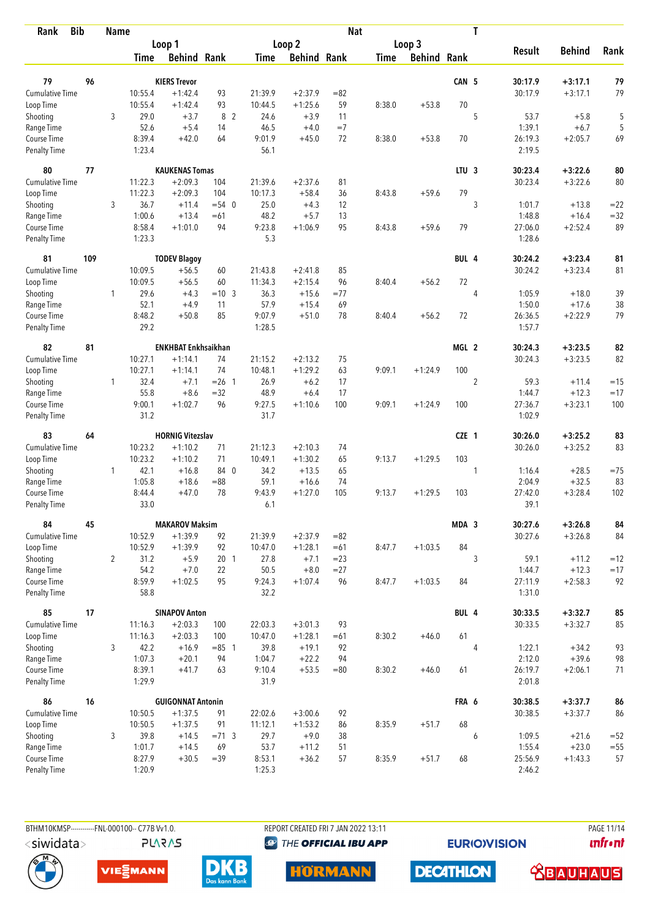| <b>Bib</b><br>Rank          |     | <b>Name</b>    |                |                            |                 |                  |                    | <b>Nat</b> |             |                    |                  | T              |                   |               |        |
|-----------------------------|-----|----------------|----------------|----------------------------|-----------------|------------------|--------------------|------------|-------------|--------------------|------------------|----------------|-------------------|---------------|--------|
|                             |     |                |                | Loop 1                     |                 |                  | Loop 2             |            |             | Loop 3             |                  |                |                   |               |        |
|                             |     |                | Time           | <b>Behind Rank</b>         |                 | Time             | <b>Behind Rank</b> |            | <b>Time</b> | <b>Behind Rank</b> |                  |                | <b>Result</b>     | <b>Behind</b> | Rank   |
| 79                          | 96  |                |                | <b>KIERS Trevor</b>        |                 |                  |                    |            |             |                    | CAN 5            |                | 30:17.9           | $+3:17.1$     | 79     |
| <b>Cumulative Time</b>      |     |                | 10:55.4        | $+1:42.4$                  | 93              | 21:39.9          | $+2:37.9$          | $= 82$     |             |                    |                  |                | 30:17.9           | $+3:17.1$     | 79     |
| Loop Time                   |     |                | 10:55.4        | $+1:42.4$                  | 93              | 10:44.5          | $+1:25.6$          | 59         | 8:38.0      | $+53.8$            | 70               |                |                   |               |        |
| Shooting                    |     | 3              | 29.0           | $+3.7$                     | 8 2             | 24.6             | $+3.9$             | 11         |             |                    |                  | 5              | 53.7              | $+5.8$        | 5      |
| Range Time                  |     |                | 52.6           | $+5.4$                     | 14              | 46.5             | $+4.0$             | $=7$       |             |                    |                  |                | 1:39.1            | $+6.7$        | 5      |
| Course Time                 |     |                | 8:39.4         | $+42.0$                    | 64              | 9:01.9           | $+45.0$            | 72         | 8:38.0      | $+53.8$            | 70               |                | 26:19.3           | $+2:05.7$     | 69     |
| <b>Penalty Time</b>         |     |                | 1:23.4         |                            |                 | 56.1             |                    |            |             |                    |                  |                | 2:19.5            |               |        |
| 80                          | 77  |                |                | <b>KAUKENAS Tomas</b>      |                 |                  |                    |            |             |                    | LTU <sub>3</sub> |                | 30:23.4           | $+3:22.6$     | 80     |
| Cumulative Time             |     |                | 11:22.3        | $+2:09.3$                  | 104             | 21:39.6          | $+2:37.6$          | 81         |             |                    |                  |                | 30:23.4           | $+3:22.6$     | 80     |
| Loop Time                   |     |                | 11:22.3        | $+2:09.3$                  | 104             | 10:17.3          | $+58.4$            | 36         | 8:43.8      | $+59.6$            | 79               |                |                   |               |        |
| Shooting                    |     | 3              | 36.7           | $+11.4$                    | $= 54$ 0        | 25.0             | $+4.3$             | 12         |             |                    |                  | 3              | 1:01.7            | $+13.8$       | $= 22$ |
| Range Time                  |     |                | 1:00.6         | $+13.4$                    | $=61$           | 48.2             | $+5.7$             | 13         |             |                    |                  |                | 1:48.8            | $+16.4$       | $= 32$ |
| Course Time                 |     |                | 8:58.4         | $+1:01.0$                  | 94              | 9:23.8           | $+1:06.9$          | 95         | 8:43.8      | $+59.6$            | 79               |                | 27:06.0           | $+2:52.4$     | 89     |
| <b>Penalty Time</b>         |     |                | 1:23.3         |                            |                 | 5.3              |                    |            |             |                    |                  |                | 1:28.6            |               |        |
| 81                          | 109 |                |                | <b>TODEV Blagoy</b>        |                 |                  |                    |            |             |                    | BUL 4            |                | 30:24.2           | $+3:23.4$     | 81     |
| Cumulative Time             |     |                | 10:09.5        | $+56.5$                    | 60              | 21:43.8          | $+2:41.8$          | 85         |             |                    |                  |                | 30:24.2           | $+3:23.4$     | 81     |
| Loop Time                   |     |                | 10:09.5        | $+56.5$                    | 60              | 11:34.3          | $+2:15.4$          | 96         | 8:40.4      | $+56.2$            | 72               |                |                   |               |        |
| Shooting                    |     | $\mathbf{1}$   | 29.6           | $+4.3$                     | $= 10 \quad 3$  | 36.3             | $+15.6$            | $= 77$     |             |                    |                  | $\overline{4}$ | 1:05.9            | $+18.0$       | 39     |
| Range Time                  |     |                | 52.1           | $+4.9$                     | 11              | 57.9             | $+15.4$            | 69         |             |                    |                  |                | 1:50.0            | $+17.6$       | 38     |
| Course Time<br>Penalty Time |     |                | 8:48.2<br>29.2 | $+50.8$                    | 85              | 9:07.9<br>1:28.5 | $+51.0$            | 78         | 8:40.4      | $+56.2$            | 72               |                | 26:36.5<br>1:57.7 | $+2:22.9$     | 79     |
| 82                          | 81  |                |                | <b>ENKHBAT Enkhsaikhan</b> |                 |                  |                    |            |             |                    | MGL 2            |                | 30:24.3           | $+3:23.5$     | 82     |
| <b>Cumulative Time</b>      |     |                | 10:27.1        | $+1:14.1$                  | 74              | 21:15.2          | $+2:13.2$          | 75         |             |                    |                  |                | 30:24.3           | $+3:23.5$     | 82     |
| Loop Time                   |     |                | 10:27.1        | $+1:14.1$                  | 74              | 10:48.1          | $+1:29.2$          | 63         | 9:09.1      | $+1:24.9$          | 100              |                |                   |               |        |
| Shooting                    |     | $\mathbf{1}$   | 32.4           | $+7.1$                     | $= 26$ 1        | 26.9             | $+6.2$             | 17         |             |                    |                  | $\overline{2}$ | 59.3              | $+11.4$       | $=15$  |
| Range Time                  |     |                | 55.8           | $+8.6$                     | $=32$           | 48.9             | $+6.4$             | 17         |             |                    |                  |                | 1:44.7            | $+12.3$       | $=17$  |
| Course Time                 |     |                | 9:00.1         | $+1:02.7$                  | 96              | 9:27.5           | $+1:10.6$          | 100        | 9:09.1      | $+1:24.9$          | 100              |                | 27:36.7           | $+3:23.1$     | 100    |
| <b>Penalty Time</b>         |     |                | 31.2           |                            |                 | 31.7             |                    |            |             |                    |                  |                | 1:02.9            |               |        |
| 83                          | 64  |                |                | <b>HORNIG Vitezslav</b>    |                 |                  |                    |            |             |                    | CZE 1            |                | 30:26.0           | $+3:25.2$     | 83     |
| Cumulative Time             |     |                | 10:23.2        | $+1:10.2$                  | 71              | 21:12.3          | $+2:10.3$          | 74         |             |                    |                  |                | 30:26.0           | $+3:25.2$     | 83     |
| Loop Time                   |     |                | 10:23.2        | $+1:10.2$                  | 71              | 10:49.1          | $+1:30.2$          | 65         | 9:13.7      | $+1:29.5$          | 103              |                |                   |               |        |
| Shooting                    |     | $\mathbf{1}$   | 42.1           | $+16.8$                    | 84 0            | 34.2             | $+13.5$            | 65         |             |                    |                  | 1              | 1:16.4            | $+28.5$       | $=75$  |
| Range Time                  |     |                | 1:05.8         | $+18.6$                    | $= 88$          | 59.1             | $+16.6$            | 74         |             |                    |                  |                | 2:04.9            | $+32.5$       | 83     |
| Course Time                 |     |                | 8:44.4         | $+47.0$                    | 78              | 9:43.9           | $+1:27.0$          | 105        | 9:13.7      | $+1:29.5$          | 103              |                | 27:42.0           | $+3:28.4$     | 102    |
| <b>Penalty Time</b>         |     |                | 33.0           |                            |                 | 6.1              |                    |            |             |                    |                  |                | 39.1              |               |        |
| 84                          | 45  |                |                | <b>MAKAROV Maksim</b>      |                 |                  |                    |            |             |                    | MDA 3            |                | 30:27.6           | $+3:26.8$     | 84     |
| <b>Cumulative Time</b>      |     |                | 10:52.9        | $+1:39.9$                  | 92              | 21:39.9          | $+2:37.9$          | $= 82$     |             |                    |                  |                | 30:27.6           | $+3:26.8$     | 84     |
| Loop Time                   |     |                | 10:52.9        | $+1:39.9$                  | 92              | 10:47.0          | $+1:28.1$          | $=61$      | 8:47.7      | $+1:03.5$          | 84               |                |                   |               |        |
| Shooting                    |     | $\overline{2}$ | 31.2           | $+5.9$                     | 20 <sub>1</sub> | 27.8             | $+7.1$             | $= 23$     |             |                    |                  | 3              | 59.1              | $+11.2$       | $=12$  |
| Range Time                  |     |                | 54.2           | $+7.0$                     | 22              | 50.5             | $+8.0$             | $= 27$     |             |                    |                  |                | 1:44.7            | $+12.3$       | $=17$  |
| Course Time<br>Penalty Time |     |                | 8:59.9<br>58.8 | $+1:02.5$                  | 95              | 9:24.3<br>32.2   | $+1:07.4$          | 96         | 8:47.7      | $+1:03.5$          | 84               |                | 27:11.9<br>1:31.0 | $+2:58.3$     | 92     |
| 85                          | 17  |                |                | <b>SINAPOV Anton</b>       |                 |                  |                    |            |             |                    | BUL 4            |                | 30:33.5           | $+3:32.7$     | 85     |
| Cumulative Time             |     |                | 11:16.3        | $+2:03.3$                  | 100             | 22:03.3          | $+3:01.3$          | 93         |             |                    |                  |                | 30:33.5           | $+3:32.7$     | 85     |
| Loop Time                   |     |                | 11:16.3        | $+2:03.3$                  | 100             | 10:47.0          | $+1:28.1$          | $=61$      | 8:30.2      | $+46.0$            | 61               |                |                   |               |        |
| Shooting                    |     | 3              | 42.2           | $+16.9$                    | $= 85$ 1        | 39.8             | $+19.1$            | 92         |             |                    |                  | 4              | 1:22.1            | $+34.2$       | 93     |
| Range Time                  |     |                | 1:07.3         | $+20.1$                    | 94              | 1:04.7           | $+22.2$            | 94         |             |                    |                  |                | 2:12.0            | $+39.6$       | 98     |
| Course Time                 |     |                | 8:39.1         | $+41.7$                    | 63              | 9:10.4           | $+53.5$            | $= 80$     | 8:30.2      | $+46.0$            | 61               |                | 26:19.7           | $+2:06.1$     | 71     |
| Penalty Time                |     |                | 1:29.9         |                            |                 | 31.9             |                    |            |             |                    |                  |                | 2:01.8            |               |        |
| 86                          | 16  |                |                | <b>GUIGONNAT Antonin</b>   |                 |                  |                    |            |             |                    | FRA 6            |                | 30:38.5           | $+3:37.7$     | 86     |
| Cumulative Time             |     |                | 10:50.5        | $+1:37.5$                  | 91              | 22:02.6          | $+3:00.6$          | 92         |             |                    |                  |                | 30:38.5           | $+3:37.7$     | 86     |
| Loop Time                   |     |                | 10:50.5        | $+1:37.5$                  | 91              | 11:12.1          | $+1:53.2$          | 86         | 8:35.9      | $+51.7$            | 68               |                |                   |               |        |
| Shooting                    |     | 3              | 39.8           | $+14.5$                    | $= 71.3$        | 29.7             | $+9.0$             | 38         |             |                    |                  | 6              | 1:09.5            | $+21.6$       | $= 52$ |
| Range Time                  |     |                | 1:01.7         | $+14.5$                    | 69              | 53.7             | $+11.2$            | 51         |             |                    |                  |                | 1:55.4            | $+23.0$       | $=55$  |
| Course Time                 |     |                | 8:27.9         | $+30.5$                    | $=39$           | 8:53.1           | $+36.2$            | 57         | 8:35.9      | $+51.7$            | 68               |                | 25:56.9           | $+1:43.3$     | 57     |
| <b>Penalty Time</b>         |     |                | 1:20.9         |                            |                 | 1:25.3           |                    |            |             |                    |                  |                | 2:46.2            |               |        |

**PLARAS** 

BTHM10KMSP-----------FNL-000100-- C77B Vv1.0. REPORT CREATED FRI 7 JAN 2022 13:11 PAGE 11/14

**@** THE OFFICIAL IBU APP

**EURIOVISION** 

**unfront** 







**DECATHLON HORMANN** 

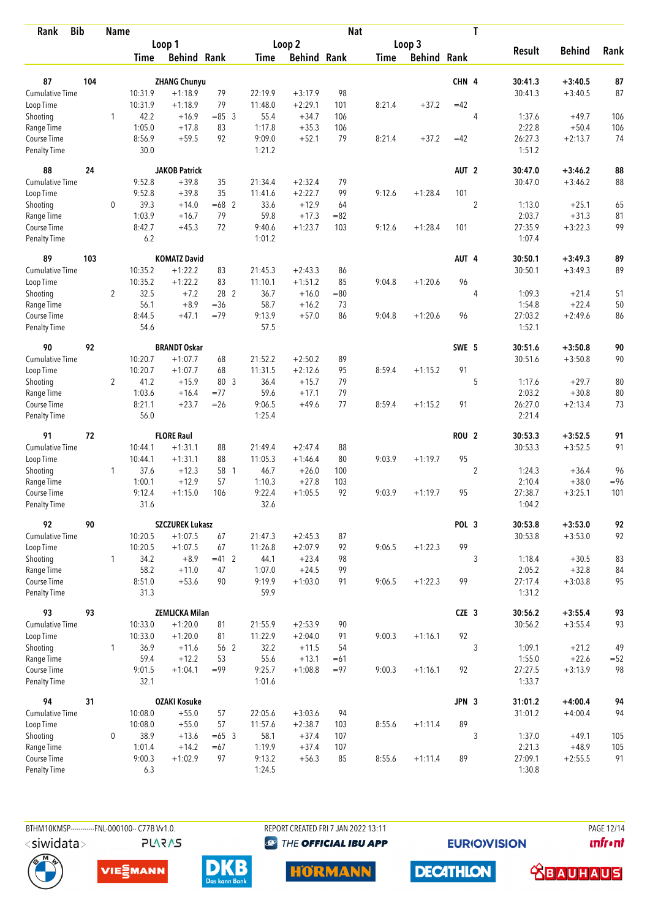| <b>Bib</b><br>Rank          |     | <b>Name</b>    |                |                                     |          |                  |                    | <b>Nat</b> |             |                    |                  | T              |                    |                        |          |
|-----------------------------|-----|----------------|----------------|-------------------------------------|----------|------------------|--------------------|------------|-------------|--------------------|------------------|----------------|--------------------|------------------------|----------|
|                             |     |                |                | Loop 1                              |          |                  | Loop 2             |            |             | Loop 3             |                  |                |                    |                        |          |
|                             |     |                | Time           | <b>Behind Rank</b>                  |          | Time             | <b>Behind Rank</b> |            | <b>Time</b> | <b>Behind Rank</b> |                  |                | <b>Result</b>      | <b>Behind</b>          | Rank     |
| 87                          | 104 |                |                | <b>ZHANG Chunyu</b>                 |          |                  |                    |            |             |                    | CHN 4            |                | 30:41.3            | $+3:40.5$              | 87       |
| <b>Cumulative Time</b>      |     |                | 10:31.9        | $+1:18.9$                           | 79       | 22:19.9          | $+3:17.9$          | 98         |             |                    |                  |                | 30:41.3            | $+3:40.5$              | 87       |
| Loop Time                   |     |                | 10:31.9        | $+1:18.9$                           | 79       | 11:48.0          | $+2:29.1$          | 101        | 8:21.4      | $+37.2$            | $=42$            |                |                    |                        |          |
| Shooting                    |     | 1              | 42.2           | $+16.9$                             | $= 85$ 3 | 55.4             | $+34.7$            | 106        |             |                    |                  | $\overline{4}$ | 1:37.6             | $+49.7$                | 106      |
| Range Time                  |     |                | 1:05.0         | $+17.8$                             | 83       | 1:17.8           | $+35.3$            | 106        |             |                    |                  |                | 2:22.8             | $+50.4$                | 106      |
| Course Time                 |     |                | 8:56.9         | $+59.5$                             | 92       | 9:09.0           | $+52.1$            | 79         | 8:21.4      | $+37.2$            | $=42$            |                | 26:27.3            | $+2:13.7$              | 74       |
| <b>Penalty Time</b>         |     |                | 30.0           |                                     |          | 1:21.2           |                    |            |             |                    |                  |                | 1:51.2             |                        |          |
| 88                          | 24  |                |                | <b>JAKOB Patrick</b>                |          |                  |                    |            |             |                    | AUT <sub>2</sub> |                | 30:47.0            | $+3:46.2$              | 88       |
| Cumulative Time             |     |                | 9:52.8         | $+39.8$                             | 35       | 21:34.4          | $+2:32.4$          | 79         |             |                    |                  |                | 30:47.0            | $+3:46.2$              | 88       |
| Loop Time                   |     |                | 9:52.8         | $+39.8$                             | 35       | 11:41.6          | $+2:22.7$          | 99         | 9:12.6      | $+1:28.4$          | 101              |                |                    |                        |          |
| Shooting                    |     | 0              | 39.3           | $+14.0$                             | $=68$ 2  | 33.6             | $+12.9$            | 64         |             |                    |                  | $\overline{2}$ | 1:13.0             | $+25.1$                | 65       |
| Range Time                  |     |                | 1:03.9         | $+16.7$                             | 79       | 59.8             | $+17.3$            | $= 82$     |             |                    |                  |                | 2:03.7             | $+31.3$                | 81       |
| Course Time                 |     |                | 8:42.7         | $+45.3$                             | 72       | 9:40.6           | $+1:23.7$          | 103        | 9:12.6      | $+1:28.4$          | 101              |                | 27:35.9            | $+3:22.3$              | 99       |
| <b>Penalty Time</b>         |     |                | 6.2            |                                     |          | 1:01.2           |                    |            |             |                    |                  |                | 1:07.4             |                        |          |
| 89                          | 103 |                |                | <b>KOMATZ David</b>                 |          |                  |                    |            |             |                    | AUT 4            |                | 30:50.1            | $+3:49.3$              | 89       |
| Cumulative Time             |     |                | 10:35.2        | $+1:22.2$                           | 83       | 21:45.3          | $+2:43.3$          | 86         |             |                    |                  |                | 30:50.1            | $+3:49.3$              | 89       |
| Loop Time                   |     |                | 10:35.2        | $+1:22.2$                           | 83       | 11:10.1          | $+1:51.2$          | 85         | 9:04.8      | $+1:20.6$          | 96               |                |                    |                        |          |
| Shooting                    |     | $\overline{2}$ | 32.5           | $+7.2$                              | 28 2     | 36.7             | $+16.0$            | $= 80$     |             |                    |                  | $\overline{4}$ | 1:09.3             | $+21.4$                | 51       |
| Range Time                  |     |                | 56.1           | $+8.9$                              | $= 36$   | 58.7             | $+16.2$            | 73         |             |                    |                  |                | 1:54.8             | $+22.4$                | 50       |
| Course Time<br>Penalty Time |     |                | 8:44.5<br>54.6 | $+47.1$                             | $=79$    | 9:13.9<br>57.5   | $+57.0$            | 86         | 9:04.8      | $+1:20.6$          | 96               |                | 27:03.2<br>1:52.1  | $+2:49.6$              | 86       |
| 90                          | 92  |                |                | <b>BRANDT Oskar</b>                 |          |                  |                    |            |             |                    | SWE 5            |                | 30:51.6            | $+3:50.8$              | 90       |
| <b>Cumulative Time</b>      |     |                | 10:20.7        | $+1:07.7$                           | 68       | 21:52.2          | $+2:50.2$          | 89         |             |                    |                  |                | 30:51.6            | $+3:50.8$              | 90       |
| Loop Time                   |     |                | 10:20.7        | $+1:07.7$                           | 68       | 11:31.5          | $+2:12.6$          | 95         | 8:59.4      | $+1:15.2$          | 91               |                |                    |                        |          |
| Shooting                    |     | 2              | 41.2           | $+15.9$                             | 80 3     | 36.4             | $+15.7$            | 79         |             |                    |                  | 5              | 1:17.6             | $+29.7$                | 80       |
| Range Time                  |     |                | 1:03.6         | $+16.4$                             | $= 77$   | 59.6             | $+17.1$            | 79         |             |                    |                  |                | 2:03.2             | $+30.8$                | 80       |
| Course Time                 |     |                | 8:21.1         | $+23.7$                             | $=26$    | 9:06.5           | $+49.6$            | 77         | 8:59.4      | $+1:15.2$          | 91               |                | 26:27.0            | $+2:13.4$              | 73       |
| <b>Penalty Time</b>         |     |                | 56.0           |                                     |          | 1:25.4           |                    |            |             |                    |                  |                | 2:21.4             |                        |          |
| 91                          | 72  |                |                | <b>FLORE Raul</b>                   |          |                  |                    |            |             |                    | <b>ROU 2</b>     |                | 30:53.3            | $+3:52.5$              | 91       |
| Cumulative Time             |     |                | 10:44.1        | $+1:31.1$                           | 88       | 21:49.4          | $+2:47.4$          | 88         |             |                    |                  |                | 30:53.3            | $+3:52.5$              | 91       |
| Loop Time                   |     |                | 10:44.1        | $+1:31.1$                           | 88       | 11:05.3          | $+1:46.4$          | 80         | 9:03.9      | $+1:19.7$          | 95               |                |                    |                        |          |
| Shooting                    |     | $\mathbf{1}$   | 37.6           | $+12.3$                             | 58 1     | 46.7             | $+26.0$            | 100        |             |                    |                  | $\overline{2}$ | 1:24.3             | $+36.4$                | 96       |
| Range Time                  |     |                | 1:00.1         | $+12.9$                             | 57       | 1:10.3           | $+27.8$            | 103        |             |                    |                  |                | 2:10.4             | $+38.0$                | $= 96$   |
| Course Time                 |     |                | 9:12.4         | $+1:15.0$                           | 106      | 9:22.4           | $+1:05.5$          | 92         | 9:03.9      | $+1:19.7$          | 95               |                | 27:38.7            | $+3:25.1$              | 101      |
| Penalty Time                |     |                | 31.6           |                                     |          | 32.6             |                    |            |             |                    |                  |                | 1:04.2             |                        |          |
| 92<br>Cumulative Time       | 90  |                | 10:20.5        | <b>SZCZUREK Lukasz</b><br>$+1:07.5$ | 67       | 21:47.3          | $+2:45.3$          | 87         |             |                    | POL 3            |                | 30:53.8<br>30:53.8 | $+3:53.0$<br>$+3:53.0$ | 92<br>92 |
| Loop Time                   |     |                | 10:20.5        | $+1:07.5$                           | 67       | 11:26.8          | $+2:07.9$          | 92         | 9:06.5      | $+1:22.3$          | 99               |                |                    |                        |          |
| Shooting                    |     | $\mathbf{1}$   | 34.2           | $+8.9$                              | $=41$ 2  | 44.1             | $+23.4$            | 98         |             |                    |                  | 3              | 1:18.4             | $+30.5$                | 83       |
| Range Time                  |     |                | 58.2           | $+11.0$                             | 47       | 1:07.0           | $+24.5$            | 99         |             |                    |                  |                | 2:05.2             | $+32.8$                | 84       |
| Course Time                 |     |                | 8:51.0         | $+53.6$                             | 90       | 9:19.9           | $+1:03.0$          | 91         | 9:06.5      | $+1:22.3$          | 99               |                | 27:17.4            | $+3:03.8$              | 95       |
| Penalty Time                |     |                | 31.3           |                                     |          | 59.9             |                    |            |             |                    |                  |                | 1:31.2             |                        |          |
| 93                          | 93  |                |                | <b>ZEMLICKA Milan</b>               |          |                  |                    |            |             |                    | CZE 3            |                | 30:56.2            | $+3:55.4$              | 93       |
| Cumulative Time             |     |                | 10:33.0        | $+1:20.0$                           | 81       | 21:55.9          | $+2:53.9$          | 90         |             |                    |                  |                | 30:56.2            | $+3:55.4$              | 93       |
| Loop Time                   |     |                | 10:33.0        | $+1:20.0$                           | 81       | 11:22.9          | $+2:04.0$          | 91         | 9:00.3      | $+1:16.1$          | 92               |                |                    |                        |          |
| Shooting                    |     | $\mathbf{1}$   | 36.9           | $+11.6$                             | 56 2     | 32.2             | $+11.5$            | 54         |             |                    |                  | 3              | 1:09.1             | $+21.2$                | 49       |
| Range Time                  |     |                | 59.4           | $+12.2$                             | 53       | 55.6             | $+13.1$            | $=61$      |             |                    |                  |                | 1:55.0             | $+22.6$                | $= 52$   |
| Course Time<br>Penalty Time |     |                | 9:01.5<br>32.1 | $+1:04.1$                           | $= 99$   | 9:25.7<br>1:01.6 | $+1:08.8$          | $= 97$     | 9:00.3      | $+1:16.1$          | 92               |                | 27:27.5<br>1:33.7  | $+3:13.9$              | 98       |
|                             |     |                |                |                                     |          |                  |                    |            |             |                    |                  |                |                    |                        |          |
| 94<br>Cumulative Time       | 31  |                | 10:08.0        | <b>OZAKI Kosuke</b><br>$+55.0$      | 57       | 22:05.6          | $+3:03.6$          | 94         |             |                    | JPN 3            |                | 31:01.2<br>31:01.2 | $+4:00.4$<br>$+4:00.4$ | 94<br>94 |
| Loop Time                   |     |                | 10:08.0        | $+55.0$                             | 57       | 11:57.6          | $+2:38.7$          | 103        | 8:55.6      | $+1:11.4$          | 89               |                |                    |                        |          |
| Shooting                    |     | 0              | 38.9           | $+13.6$                             | $=65$ 3  | 58.1             | $+37.4$            | 107        |             |                    |                  | 3              | 1:37.0             | $+49.1$                | 105      |
| Range Time                  |     |                | 1:01.4         | $+14.2$                             | $=67$    | 1:19.9           | $+37.4$            | 107        |             |                    |                  |                | 2:21.3             | $+48.9$                | 105      |
| Course Time                 |     |                | 9:00.3         | $+1:02.9$                           | 97       | 9:13.2           | $+56.3$            | 85         | 8:55.6      | $+1:11.4$          | 89               |                | 27:09.1            | $+2:55.5$              | 91       |
| <b>Penalty Time</b>         |     |                | 6.3            |                                     |          | 1:24.5           |                    |            |             |                    |                  |                | 1:30.8             |                        |          |

**PLARAS** 

BTHM10KMSP-----------FNL-000100-- C77B Vv1.0. REPORT CREATED FRI 7 JAN 2022 13:11 PAGE 12/14 **@** THE OFFICIAL IBU APP

**HORMANN** 

**EURIOVISION** 

**unfront** 







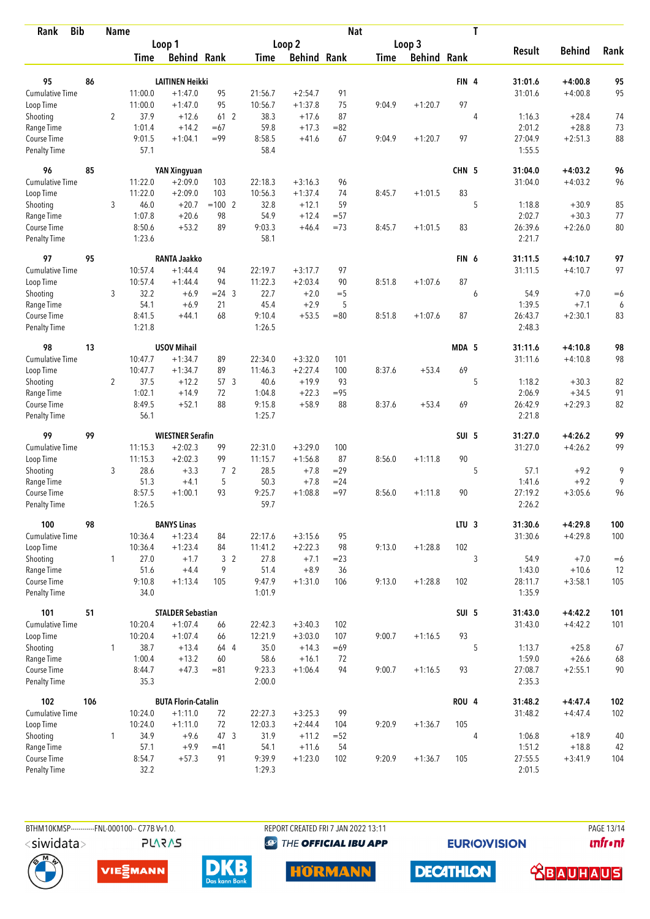| <b>Bib</b><br>Rank          |     | <b>Name</b>    |                |                            |                |                  |                    | <b>Nat</b> |             |                    |                  | T |                   |               |      |
|-----------------------------|-----|----------------|----------------|----------------------------|----------------|------------------|--------------------|------------|-------------|--------------------|------------------|---|-------------------|---------------|------|
|                             |     |                |                | Loop 1                     |                |                  | Loop 2             |            |             | Loop 3             |                  |   |                   |               |      |
|                             |     |                | Time           | <b>Behind Rank</b>         |                | Time             | <b>Behind Rank</b> |            | <b>Time</b> | <b>Behind Rank</b> |                  |   | <b>Result</b>     | <b>Behind</b> | Rank |
| 95                          | 86  |                |                | <b>LAITINEN Heikki</b>     |                |                  |                    |            |             |                    | FIN <sub>4</sub> |   | 31:01.6           | $+4:00.8$     | 95   |
| <b>Cumulative Time</b>      |     |                | 11:00.0        | $+1:47.0$                  | 95             | 21:56.7          | $+2:54.7$          | 91         |             |                    |                  |   | 31:01.6           | $+4:00.8$     | 95   |
| Loop Time                   |     |                | 11:00.0        | $+1:47.0$                  | 95             | 10:56.7          | $+1:37.8$          | 75         | 9:04.9      | $+1:20.7$          | 97               |   |                   |               |      |
| Shooting                    |     | $\overline{2}$ | 37.9           | $+12.6$                    | 61 2           | 38.3             | $+17.6$            | 87         |             |                    |                  | 4 | 1:16.3            | $+28.4$       | 74   |
| Range Time                  |     |                | 1:01.4         | $+14.2$                    | $=67$          | 59.8             | $+17.3$            | $= 82$     |             |                    |                  |   | 2:01.2            | $+28.8$       | 73   |
| Course Time                 |     |                | 9:01.5         | $+1:04.1$                  | $= 99$         | 8:58.5           | $+41.6$            | 67         | 9:04.9      | $+1:20.7$          | 97               |   | 27:04.9           | $+2:51.3$     | 88   |
| <b>Penalty Time</b>         |     |                | 57.1           |                            |                | 58.4             |                    |            |             |                    |                  |   | 1:55.5            |               |      |
| 96                          | 85  |                |                | YAN Xingyuan               |                |                  |                    |            |             |                    | CHN 5            |   | 31:04.0           | $+4:03.2$     | 96   |
| Cumulative Time             |     |                | 11:22.0        | $+2:09.0$                  | 103            | 22:18.3          | $+3:16.3$          | 96         |             |                    |                  |   | 31:04.0           | $+4:03.2$     | 96   |
| Loop Time                   |     |                | 11:22.0        | $+2:09.0$                  | 103            | 10:56.3          | $+1:37.4$          | 74         | 8:45.7      | $+1:01.5$          | 83               |   |                   |               |      |
| Shooting                    |     | 3              | 46.0           | $+20.7$                    | $=100$ 2       | 32.8             | $+12.1$            | 59         |             |                    |                  | 5 | 1:18.8            | $+30.9$       | 85   |
| Range Time                  |     |                | 1:07.8         | $+20.6$                    | 98             | 54.9             | $+12.4$            | $= 57$     |             |                    |                  |   | 2:02.7            | $+30.3$       | 77   |
| Course Time                 |     |                | 8:50.6         | $+53.2$                    | 89             | 9:03.3           | $+46.4$            | $=73$      | 8:45.7      | $+1:01.5$          | 83               |   | 26:39.6           | $+2:26.0$     | 80   |
| <b>Penalty Time</b>         |     |                | 1:23.6         |                            |                | 58.1             |                    |            |             |                    |                  |   | 2:21.7            |               |      |
| 97                          | 95  |                |                | <b>RANTA Jaakko</b>        |                |                  |                    |            |             |                    | FIN <sub>6</sub> |   | 31:11.5           | $+4:10.7$     | 97   |
| Cumulative Time             |     |                | 10:57.4        | $+1:44.4$                  | 94             | 22:19.7          | $+3:17.7$          | 97         |             |                    |                  |   | 31:11.5           | $+4:10.7$     | 97   |
| Loop Time                   |     |                | 10:57.4        | $+1:44.4$                  | 94             | 11:22.3          | $+2:03.4$          | 90         | 8:51.8      | $+1:07.6$          | 87               |   |                   |               |      |
| Shooting                    |     | 3              | 32.2           | $+6.9$                     | $= 24$ 3       | 22.7             | $+2.0$             | $=$ 5      |             |                    |                  | 6 | 54.9              | $+7.0$        | $=6$ |
| Range Time                  |     |                | 54.1           | $+6.9$                     | 21             | 45.4             | $+2.9$             | 5          |             |                    |                  |   | 1:39.5            | $+7.1$        | 6    |
| Course Time                 |     |                | 8:41.5         | $+44.1$                    | 68             | 9:10.4           | $+53.5$            | $= 80$     | 8:51.8      | $+1:07.6$          | 87               |   | 26:43.7           | $+2:30.1$     | 83   |
| <b>Penalty Time</b>         |     |                | 1:21.8         |                            |                | 1:26.5           |                    |            |             |                    |                  |   | 2:48.3            |               |      |
| 98                          | 13  |                |                | <b>USOV Mihail</b>         |                |                  |                    |            |             |                    | MDA 5            |   | 31:11.6           | $+4:10.8$     | 98   |
| Cumulative Time             |     |                | 10:47.7        | $+1:34.7$                  | 89             | 22:34.0          | $+3:32.0$          | 101        |             |                    |                  |   | 31:11.6           | $+4:10.8$     | 98   |
| Loop Time                   |     |                | 10:47.7        | $+1:34.7$                  | 89             | 11:46.3          | $+2:27.4$          | 100        | 8:37.6      | $+53.4$            | 69               |   |                   |               |      |
| Shooting                    |     | $\overline{2}$ | 37.5           | $+12.2$                    | 57 3           | 40.6             | $+19.9$            | 93         |             |                    |                  | 5 | 1:18.2            | $+30.3$       | 82   |
| Range Time                  |     |                | 1:02.1         | $+14.9$                    | 72             | 1:04.8           | $+22.3$            | $= 95$     |             |                    |                  |   | 2:06.9            | $+34.5$       | 91   |
| Course Time                 |     |                | 8:49.5         | $+52.1$                    | 88             | 9:15.8           | $+58.9$            | 88         | 8:37.6      | $+53.4$            | 69               |   | 26:42.9           | $+2:29.3$     | 82   |
| <b>Penalty Time</b>         |     |                | 56.1           |                            |                | 1:25.7           |                    |            |             |                    |                  |   | 2:21.8            |               |      |
| 99                          | 99  |                |                | <b>WIESTNER Serafin</b>    |                |                  |                    |            |             |                    | SUI 5            |   | 31:27.0           | $+4:26.2$     | 99   |
| Cumulative Time             |     |                | 11:15.3        | $+2:02.3$                  | 99             | 22:31.0          | $+3:29.0$          | 100        |             |                    |                  |   | 31:27.0           | $+4:26.2$     | 99   |
| Loop Time                   |     |                | 11:15.3        | $+2:02.3$                  | 99             | 11:15.7          | $+1:56.8$          | 87         | 8:56.0      | $+1:11.8$          | 90               |   |                   |               |      |
| Shooting                    |     | 3              | 28.6           | $+3.3$                     | 7 <sup>2</sup> | 28.5             | $+7.8$             | $=29$      |             |                    |                  | 5 | 57.1              | $+9.2$        | 9    |
| Range Time                  |     |                | 51.3           | $+4.1$                     | 5              | 50.3             | $+7.8$             | $= 24$     |             |                    |                  |   | 1:41.6            | $+9.2$        | 9    |
| Course Time                 |     |                | 8:57.5         | $+1:00.1$                  | 93             | 9:25.7           | $+1:08.8$          | $= 97$     | 8:56.0      | $+1:11.8$          | 90               |   | 27:19.2           | $+3:05.6$     | 96   |
| <b>Penalty Time</b>         |     |                | 1:26.5         |                            |                | 59.7             |                    |            |             |                    |                  |   | 2:26.2            |               |      |
| 100                         | 98  |                |                | <b>BANYS Linas</b>         |                |                  |                    |            |             |                    | LTU <sub>3</sub> |   | 31:30.6           | $+4:29.8$     | 100  |
| <b>Cumulative Time</b>      |     |                | 10:36.4        | $+1:23.4$                  | 84             | 22:17.6          | $+3:15.6$          | 95         |             |                    |                  |   | 31:30.6           | $+4:29.8$     | 100  |
| Loop Time                   |     |                | 10:36.4        | $+1:23.4$                  | 84             | 11:41.2          | $+2:22.3$          | 98         | 9:13.0      | $+1:28.8$          | 102              |   |                   |               |      |
| Shooting                    |     | $\mathbf{1}$   | 27.0           | $+1.7$                     | 3 <sup>2</sup> | 27.8             | $+7.1$             | $= 23$     |             |                    |                  | 3 | 54.9              | $+7.0$        | $=6$ |
| Range Time                  |     |                | 51.6           | $+4.4$                     | 9              | 51.4             | $+8.9$             | 36         |             |                    |                  |   | 1:43.0            | $+10.6$       | 12   |
| Course Time<br>Penalty Time |     |                | 9:10.8<br>34.0 | $+1:13.4$                  | 105            | 9:47.9<br>1:01.9 | $+1:31.0$          | 106        | 9:13.0      | $+1:28.8$          | 102              |   | 28:11.7<br>1:35.9 | $+3:58.1$     | 105  |
| 101                         | 51  |                |                | <b>STALDER Sebastian</b>   |                |                  |                    |            |             |                    | SUI 5            |   | 31:43.0           | $+4:42.2$     | 101  |
| <b>Cumulative Time</b>      |     |                | 10:20.4        | $+1:07.4$                  | 66             | 22:42.3          | $+3:40.3$          | 102        |             |                    |                  |   | 31:43.0           | $+4:42.2$     | 101  |
| Loop Time                   |     |                | 10:20.4        | $+1:07.4$                  | 66             | 12:21.9          | $+3:03.0$          | 107        | 9:00.7      | $+1:16.5$          | 93               |   |                   |               |      |
| Shooting                    |     | $\mathbf{1}$   | 38.7           | $+13.4$                    | 64 4           | 35.0             | $+14.3$            | $=69$      |             |                    |                  | 5 | 1:13.7            | $+25.8$       | 67   |
| Range Time                  |     |                | 1:00.4         | $+13.2$                    | 60             | 58.6             | $+16.1$            | 72         |             |                    |                  |   | 1:59.0            | $+26.6$       | 68   |
| Course Time                 |     |                | 8:44.7         | $+47.3$                    | $= 81$         | 9:23.3           | $+1:06.4$          | 94         | 9:00.7      | $+1:16.5$          | 93               |   | 27:08.7           | $+2:55.1$     | 90   |
| Penalty Time                |     |                | 35.3           |                            |                | 2:00.0           |                    |            |             |                    |                  |   | 2:35.3            |               |      |
| 102                         | 106 |                |                | <b>BUTA Florin-Catalin</b> |                |                  |                    |            |             |                    | <b>ROU 4</b>     |   | 31:48.2           | $+4:47.4$     | 102  |
| Cumulative Time             |     |                | 10:24.0        | $+1:11.0$                  | 72             | 22:27.3          | $+3:25.3$          | 99         |             |                    |                  |   | 31:48.2           | $+4:47.4$     | 102  |
| Loop Time                   |     |                | 10:24.0        | $+1:11.0$                  | 72             | 12:03.3          | $+2:44.4$          | 104        | 9:20.9      | $+1:36.7$          | 105              |   |                   |               |      |
| Shooting                    |     | 1              | 34.9           | $+9.6$                     | 47 3           | 31.9             | $+11.2$            | $=52$      |             |                    |                  | 4 | 1:06.8            | $+18.9$       | 40   |
| Range Time                  |     |                | 57.1           | $+9.9$                     | $=41$          | 54.1             | $+11.6$            | 54         |             |                    |                  |   | 1:51.2            | $+18.8$       | 42   |
| Course Time                 |     |                | 8:54.7         | $+57.3$                    | 91             | 9:39.9           | $+1:23.0$          | 102        | 9:20.9      | $+1:36.7$          | 105              |   | 27:55.5           | $+3:41.9$     | 104  |
| <b>Penalty Time</b>         |     |                | 32.2           |                            |                | 1:29.3           |                    |            |             |                    |                  |   | 2:01.5            |               |      |



BTHM10KMSP------------FNL-000100-- C77B Vv1.0.

REPORT CREATED FRI 7 JAN 2022 13:11 **@** THE OFFICIAL IBU APP

**EURIOVISION** 

PAGE 13/14 **unfront** 





**PLARAS** 



**DECATHLON HORMANN**